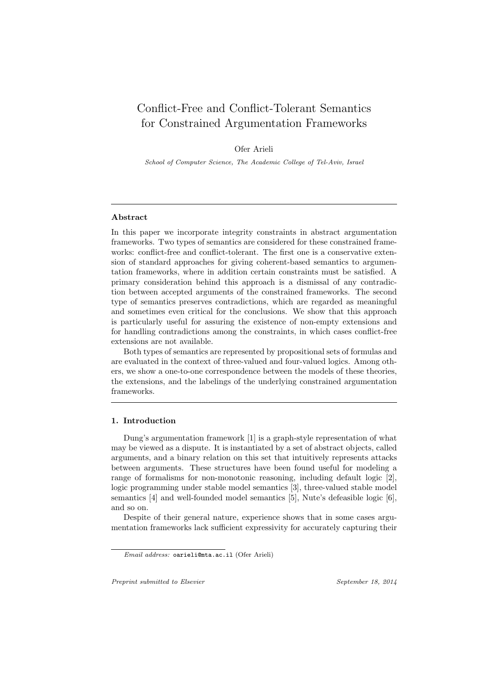# Conflict-Free and Conflict-Tolerant Semantics for Constrained Argumentation Frameworks

Ofer Arieli

*School of Computer Science, The Academic College of Tel-Aviv, Israel*

# **Abstract**

In this paper we incorporate integrity constraints in abstract argumentation frameworks. Two types of semantics are considered for these constrained frameworks: conflict-free and conflict-tolerant. The first one is a conservative extension of standard approaches for giving coherent-based semantics to argumentation frameworks, where in addition certain constraints must be satisfied. A primary consideration behind this approach is a dismissal of any contradiction between accepted arguments of the constrained frameworks. The second type of semantics preserves contradictions, which are regarded as meaningful and sometimes even critical for the conclusions. We show that this approach is particularly useful for assuring the existence of non-empty extensions and for handling contradictions among the constraints, in which cases conflict-free extensions are not available.

Both types of semantics are represented by propositional sets of formulas and are evaluated in the context of three-valued and four-valued logics. Among others, we show a one-to-one correspondence between the models of these theories, the extensions, and the labelings of the underlying constrained argumentation frameworks.

#### **1. Introduction**

Dung's argumentation framework [1] is a graph-style representation of what may be viewed as a dispute. It is instantiated by a set of abstract objects, called arguments, and a binary relation on this set that intuitively represents attacks between arguments. These structures have been found useful for modeling a range of formalisms for non-monotonic reasoning, including default logic [2], logic programming under stable model semantics [3], three-valued stable model semantics [4] and well-founded model semantics [5], Nute's defeasible logic [6], and so on.

Despite of their general nature, experience shows that in some cases argumentation frameworks lack sufficient expressivity for accurately capturing their

*Preprint submitted to Elsevier September 18, 2014*

*Email address:* oarieli@mta.ac.il (Ofer Arieli)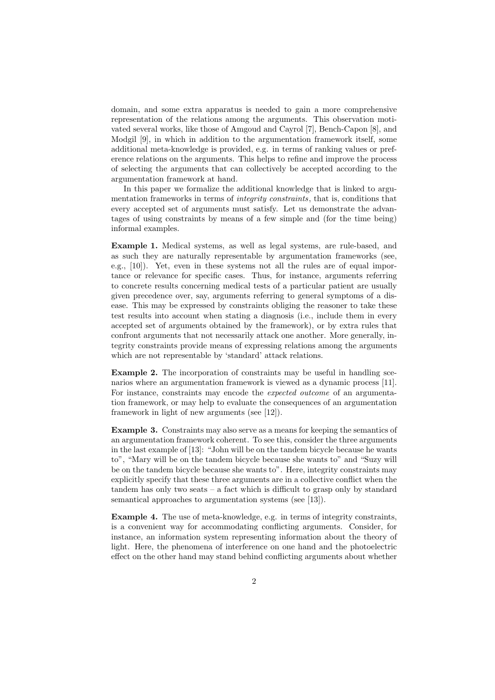domain, and some extra apparatus is needed to gain a more comprehensive representation of the relations among the arguments. This observation motivated several works, like those of Amgoud and Cayrol [7], Bench-Capon [8], and Modgil [9], in which in addition to the argumentation framework itself, some additional meta-knowledge is provided, e.g. in terms of ranking values or preference relations on the arguments. This helps to refine and improve the process of selecting the arguments that can collectively be accepted according to the argumentation framework at hand.

In this paper we formalize the additional knowledge that is linked to argumentation frameworks in terms of *integrity constraints*, that is, conditions that every accepted set of arguments must satisfy. Let us demonstrate the advantages of using constraints by means of a few simple and (for the time being) informal examples.

**Example 1.** Medical systems, as well as legal systems, are rule-based, and as such they are naturally representable by argumentation frameworks (see, e.g., [10]). Yet, even in these systems not all the rules are of equal importance or relevance for specific cases. Thus, for instance, arguments referring to concrete results concerning medical tests of a particular patient are usually given precedence over, say, arguments referring to general symptoms of a disease. This may be expressed by constraints obliging the reasoner to take these test results into account when stating a diagnosis (i.e., include them in every accepted set of arguments obtained by the framework), or by extra rules that confront arguments that not necessarily attack one another. More generally, integrity constraints provide means of expressing relations among the arguments which are not representable by 'standard' attack relations.

**Example 2.** The incorporation of constraints may be useful in handling scenarios where an argumentation framework is viewed as a dynamic process [11]. For instance, constraints may encode the *expected outcome* of an argumentation framework, or may help to evaluate the consequences of an argumentation framework in light of new arguments (see [12]).

**Example 3.** Constraints may also serve as a means for keeping the semantics of an argumentation framework coherent. To see this, consider the three arguments in the last example of [13]: "John will be on the tandem bicycle because he wants to", "Mary will be on the tandem bicycle because she wants to" and "Suzy will be on the tandem bicycle because she wants to". Here, integrity constraints may explicitly specify that these three arguments are in a collective conflict when the tandem has only two seats – a fact which is difficult to grasp only by standard semantical approaches to argumentation systems (see [13]).

**Example 4.** The use of meta-knowledge, e.g. in terms of integrity constraints, is a convenient way for accommodating conflicting arguments. Consider, for instance, an information system representing information about the theory of light. Here, the phenomena of interference on one hand and the photoelectric effect on the other hand may stand behind conflicting arguments about whether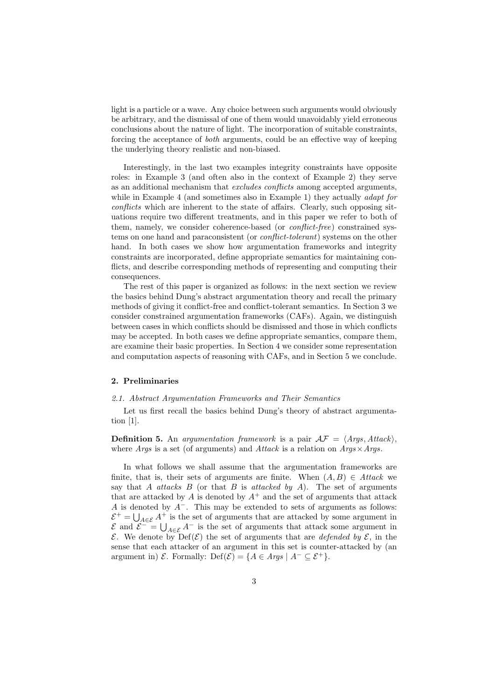light is a particle or a wave. Any choice between such arguments would obviously be arbitrary, and the dismissal of one of them would unavoidably yield erroneous conclusions about the nature of light. The incorporation of suitable constraints, forcing the acceptance of *both* arguments, could be an effective way of keeping the underlying theory realistic and non-biased.

Interestingly, in the last two examples integrity constraints have opposite roles: in Example 3 (and often also in the context of Example 2) they serve as an additional mechanism that *excludes conflicts* among accepted arguments, while in Example 4 (and sometimes also in Example 1) they actually *adapt for conflicts* which are inherent to the state of affairs. Clearly, such opposing situations require two different treatments, and in this paper we refer to both of them, namely, we consider coherence-based (or *conflict-free*) constrained systems on one hand and paraconsistent (or *conflict-tolerant*) systems on the other hand. In both cases we show how argumentation frameworks and integrity constraints are incorporated, define appropriate semantics for maintaining conflicts, and describe corresponding methods of representing and computing their consequences.

The rest of this paper is organized as follows: in the next section we review the basics behind Dung's abstract argumentation theory and recall the primary methods of giving it conflict-free and conflict-tolerant semantics. In Section 3 we consider constrained argumentation frameworks (CAFs). Again, we distinguish between cases in which conflicts should be dismissed and those in which conflicts may be accepted. In both cases we define appropriate semantics, compare them, are examine their basic properties. In Section 4 we consider some representation and computation aspects of reasoning with CAFs, and in Section 5 we conclude.

### **2. Preliminaries**

### *2.1. Abstract Argumentation Frameworks and Their Semantics*

Let us first recall the basics behind Dung's theory of abstract argumentation [1].

**Definition 5.** An *argumentation framework* is a pair  $\mathcal{AF} = \langle \text{A} \text{rgs}, \text{Attrack} \rangle$ , where *Args* is a set (of arguments) and *Attack* is a relation on *Args×Args*.

In what follows we shall assume that the argumentation frameworks are finite, that is, their sets of arguments are finite. When  $(A, B) \in Attack$  we say that *A attacks B* (or that *B* is *attacked by A*). The set of arguments that are attacked by  $A$  is denoted by  $A^+$  and the set of arguments that attack *A* is denoted by *A−*. This may be extended to sets of arguments as follows:  $\mathcal{E}^+$  =  $\bigcup_{A \in \mathcal{E}} A^+$  is the set of arguments that are attacked by some argument in  $\mathcal{E}$  and  $\mathcal{E}^- = \bigcup_{A \in \mathcal{E}} A^-$  is the set of arguments that attack some argument in *E*. We denote by  $Def(\mathcal{E})$  the set of arguments that are *defended by*  $\mathcal{E}$ , in the sense that each attacker of an argument in this set is counter-attacked by (an argument in)  $\mathcal{E}$ . Formally: Def( $\mathcal{E}$ ) = { $A \in \text{A}$ *rgs* |  $A^{-} \subseteq \mathcal{E}^{+}$  }.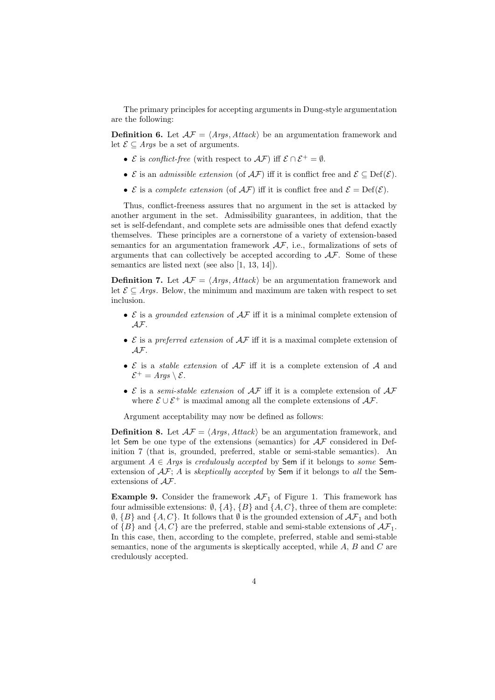The primary principles for accepting arguments in Dung-style argumentation are the following:

**Definition 6.** Let  $A\mathcal{F} = \langle Args, Attack \rangle$  be an argumentation framework and let  $\mathcal{E}$  ⊂ *Args* be a set of arguments.

- *•*  $\mathcal{E}$  is *conflict-free* (with respect to  $\mathcal{AF}$ ) iff  $\mathcal{E} \cap \mathcal{E}^+ = \emptyset$ .
- *•*  $\mathcal{E}$  is an *admissible extension* (of  $\mathcal{AF}$ ) iff it is conflict free and  $\mathcal{E} \subseteq \text{Def}(\mathcal{E})$ .
- $\mathcal E$  is a *complete extension* (of  $\mathcal{AF}$ ) iff it is conflict free and  $\mathcal E = \mathrm{Def}(\mathcal E)$ .

Thus, conflict-freeness assures that no argument in the set is attacked by another argument in the set. Admissibility guarantees, in addition, that the set is self-defendant, and complete sets are admissible ones that defend exactly themselves. These principles are a cornerstone of a variety of extension-based semantics for an argumentation framework *AF*, i.e., formalizations of sets of arguments that can collectively be accepted according to *AF*. Some of these semantics are listed next (see also [1, 13, 14]).

**Definition 7.** Let  $A\mathcal{F} = \langle Args, Attack \rangle$  be an argumentation framework and let  $\mathcal{E} \subseteq \text{Args}$ . Below, the minimum and maximum are taken with respect to set inclusion.

- *• E* is a *grounded extension* of *AF* iff it is a minimal complete extension of *AF*.
- *• E* is a *preferred extension* of *AF* iff it is a maximal complete extension of *AF*.
- *• E* is a *stable extension* of *AF* iff it is a complete extension of *A* and  $\mathcal{E}^+$  = *Args* \  $\mathcal{E}$ .
- *• E* is a *semi-stable extension* of *AF* iff it is a complete extension of *AF* where  $\mathcal{E} \cup \mathcal{E}^+$  is maximal among all the complete extensions of  $\mathcal{AF}$ .

Argument acceptability may now be defined as follows:

**Definition 8.** Let  $\mathcal{AF} = \langle \text{Args}, \text{Attack} \rangle$  be an argumentation framework, and let Sem be one type of the extensions (semantics) for *AF* considered in Definition 7 (that is, grounded, preferred, stable or semi-stable semantics). An argument  $A \in \text{Args}$  is *credulously accepted* by **Sem** if it belongs to *some* **Sem**extension of *AF*; *A* is *skeptically accepted* by Sem if it belongs to *all* the Semextensions of *AF*.

**Example 9.** Consider the framework  $A\mathcal{F}_1$  of Figure 1. This framework has four admissible extensions:  $\emptyset$ ,  $\{A\}$ ,  $\{B\}$  and  $\{A, C\}$ , three of them are complete:  $\emptyset$ ,  $\{B\}$  and  $\{A, C\}$ . It follows that  $\emptyset$  is the grounded extension of  $\mathcal{AF}_1$  and both of  ${B}$  and  ${A, C}$  are the preferred, stable and semi-stable extensions of  $\mathcal{AF}_1$ . In this case, then, according to the complete, preferred, stable and semi-stable semantics, none of the arguments is skeptically accepted, while *A*, *B* and *C* are credulously accepted.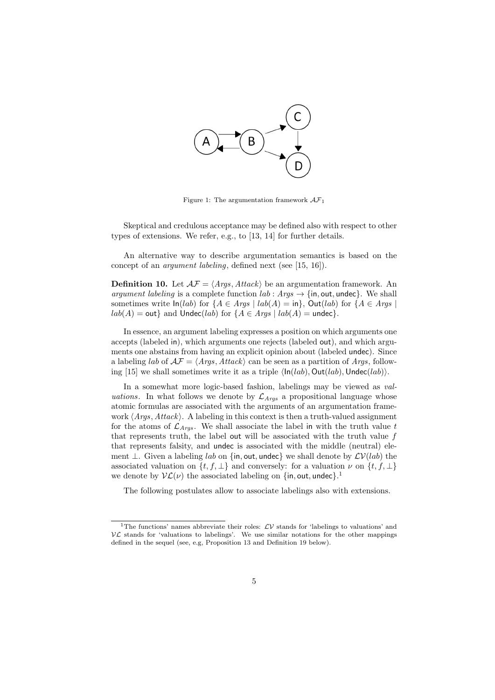

Figure 1: The argumentation framework *AF*<sup>1</sup>

Skeptical and credulous acceptance may be defined also with respect to other types of extensions. We refer, e.g., to [13, 14] for further details.

An alternative way to describe argumentation semantics is based on the concept of an *argument labeling*, defined next (see [15, 16]).

**Definition 10.** Let  $A\mathcal{F} = \langle \text{Args}, \text{Attack} \rangle$  be an argumentation framework. An *argument labeling* is a complete function  $lab: Args \rightarrow \{in, out, under\}$ . We shall sometimes write  $\ln(lab)$  for  $\{A \in Args \mid lab(A) = \text{in}\}$ ,  $Out(lab)$  for  $\{A \in Args \mid lab(A) = \text{in}\}$  $lab(A) = \text{out}$  and  $\text{Under}(lab)$  for  $\{A \in \text{A} \text{rgs} \mid lab(A) = \text{undec}\}.$ 

In essence, an argument labeling expresses a position on which arguments one accepts (labeled in), which arguments one rejects (labeled out), and which arguments one abstains from having an explicit opinion about (labeled undec). Since a labeling *lab* of  $\mathcal{AF} = \langle \mathit{Args}, \mathit{Attack} \rangle$  can be seen as a partition of  $\mathit{Args}$ , following [15] we shall sometimes write it as a triple  $\langle \ln(lab), Out(lab), Undec(lab) \rangle$ .

In a somewhat more logic-based fashion, labelings may be viewed as *valuations*. In what follows we denote by  $\mathcal{L}_{A\gamma gs}$  a propositional language whose atomic formulas are associated with the arguments of an argumentation framework *⟨Args, Attack⟩*. A labeling in this context is then a truth-valued assignment for the atoms of  $\mathcal{L}_{Args}$ . We shall associate the label in with the truth value t that represents truth, the label out will be associated with the truth value *f* that represents falsity, and undec is associated with the middle (neutral) element *⊥*. Given a labeling *lab* on *{*in*,* out*,* undec*}* we shall denote by *LV*(*lab*) the associated valuation on  $\{t, f, \perp\}$  and conversely: for a valuation  $\nu$  on  $\{t, f, \perp\}$ we denote by  $\mathcal{VL}(\nu)$  the associated labeling on  $\{\text{in}, \text{out}, \text{undec}\}.$ <sup>1</sup>

The following postulates allow to associate labelings also with extensions.

<sup>&</sup>lt;sup>1</sup>The functions' names abbreviate their roles:  $L$ <sup>V</sup> stands for 'labelings to valuations' and  $\mathcal{V}\mathcal{L}$  stands for 'valuations to labelings'. We use similar notations for the other mappings defined in the sequel (see, e.g, Proposition 13 and Definition 19 below).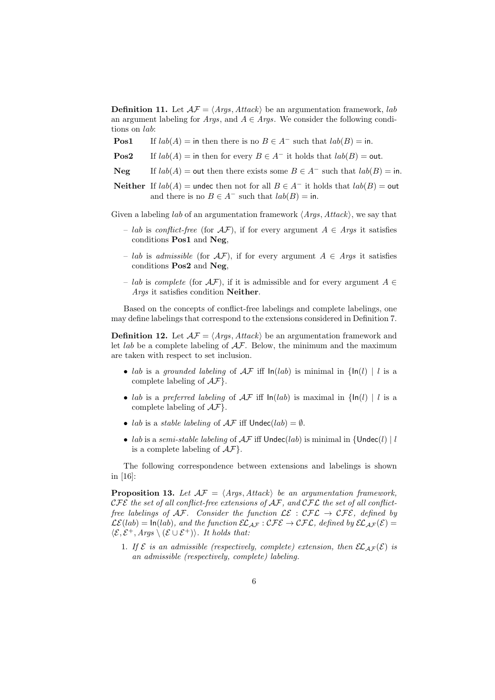**Definition 11.** Let  $A\mathcal{F} = \langle \text{Aras}, \text{Attrack} \rangle$  be an argumentation framework, *lab* an argument labeling for *Args*, and  $A \in Args$ . We consider the following conditions on *lab*:

- **Pos1** If  $lab(A) =$  in then there is no  $B \in A^-$  such that  $lab(B) =$  in.
- **Pos2** If  $lab(A) =$  in then for every  $B \in A^-$  it holds that  $lab(B) =$  out.
- **Neg** If  $lab(A) =$  out then there exists some  $B \in A^-$  such that  $lab(B) =$  in.
- **Neither** If  $lab(A)$  = undec then not for all  $B \in A^-$  it holds that  $lab(B)$  = out and there is no  $B \in A^-$  such that  $lab(B) = \text{in}$ .

Given a labeling *lab* of an argumentation framework *⟨Args, Attack⟩*, we say that

- *lab* is *conflict-free* (for *AF*), if for every argument *A ∈ Args* it satisfies conditions **Pos1** and **Neg**,
- *lab* is *admissible* (for *AF*), if for every argument *A ∈ Args* it satisfies conditions **Pos2** and **Neg**,
- *lab* is *complete* (for *AF*), if it is admissible and for every argument *A ∈ Args* it satisfies condition **Neither**.

Based on the concepts of conflict-free labelings and complete labelings, one may define labelings that correspond to the extensions considered in Definition 7.

**Definition 12.** Let  $A\mathcal{F} = \langle Args, Attack \rangle$  be an argumentation framework and let *lab* be a complete labeling of *AF*. Below, the minimum and the maximum are taken with respect to set inclusion.

- *lab* is a *grounded labeling* of  $\mathcal{AF}$  iff  $\ln(lab)$  is minimal in  $\{\ln(l) \mid l \text{ is a}\}$ complete labeling of *AF}*.
- *lab* is a *preferred labeling* of  $AF$  iff  $ln(lab)$  is maximal in  ${ln(l) | l$  is a complete labeling of *AF}*.
- *lab* is a *stable labeling* of  $AF$  iff  $Under(lab) = ∅$ .
- *lab* is a *semi-stable labeling* of  $\mathcal{AF}$  iff  $\nu$ ndec(*lab*) is minimal in  $\{\nu\}$ is a complete labeling of *AF}*.

The following correspondence between extensions and labelings is shown in [16]:

**Proposition 13.** Let  $AF = \langle Args, Attack \rangle$  be an argumentation framework, *CFE the set of all conflict-free extensions of AF, and CFL the set of all conflictfree labelings of*  $AF$ *. Consider the function*  $\mathcal{LE} : \mathcal{CFL} \to \mathcal{CFE}$ , defined by  $\mathcal{LE}(lab) = \ln(lab)$ *, and the function*  $\mathcal{EL}_{AF}: \mathcal{CFE} \to \mathcal{CFL}$ *, defined by*  $\mathcal{EL}_{AF}(\mathcal{E}) =$  $\langle \mathcal{E}, \mathcal{E}^+, \textit{A} \textit{rgs} \setminus (\mathcal{E} \cup \mathcal{E}^+) \rangle$ *. It holds that:* 

1. If  $\mathcal{E}$  *is an admissible (respectively, complete) extension, then*  $\mathcal{EL}_{\mathcal{AF}}(\mathcal{E})$  *is an admissible (respectively, complete) labeling.*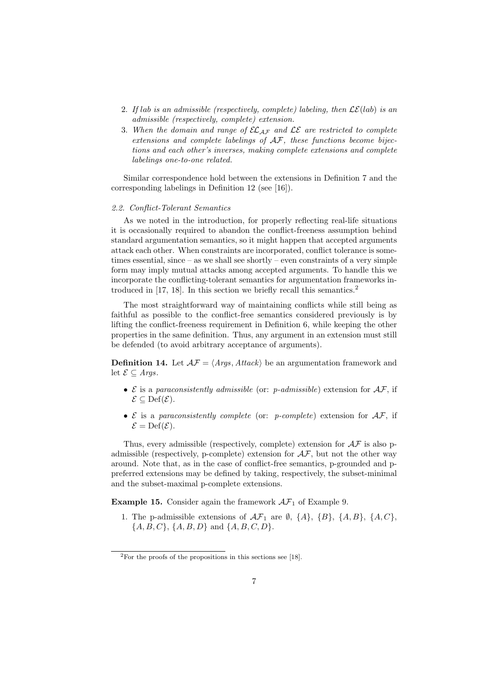- 2. If lab is an admissible (respectively, complete) labeling, then  $\mathcal{LE}(lab)$  is an *admissible (respectively, complete) extension.*
- 3. *When the domain and range of ELAF and LE are restricted to complete extensions and complete labelings of AF, these functions become bijections and each other's inverses, making complete extensions and complete labelings one-to-one related.*

Similar correspondence hold between the extensions in Definition 7 and the corresponding labelings in Definition 12 (see [16]).

#### *2.2. Conflict-Tolerant Semantics*

As we noted in the introduction, for properly reflecting real-life situations it is occasionally required to abandon the conflict-freeness assumption behind standard argumentation semantics, so it might happen that accepted arguments attack each other. When constraints are incorporated, conflict tolerance is sometimes essential, since – as we shall see shortly – even constraints of a very simple form may imply mutual attacks among accepted arguments. To handle this we incorporate the conflicting-tolerant semantics for argumentation frameworks introduced in [17, 18]. In this section we briefly recall this semantics.<sup>2</sup>

The most straightforward way of maintaining conflicts while still being as faithful as possible to the conflict-free semantics considered previously is by lifting the conflict-freeness requirement in Definition 6, while keeping the other properties in the same definition. Thus, any argument in an extension must still be defended (to avoid arbitrary acceptance of arguments).

**Definition 14.** Let  $A\mathcal{F} = \langle Args, Attack \rangle$  be an argumentation framework and let  $\mathcal{E}$  ⊆ *Args*.

- *• E* is a *paraconsistently admissible* (or: *p-admissible*) extension for *AF*, if  $E$  ⊂ Def( $E$ ).
- *• E* is a *paraconsistently complete* (or: *p-complete*) extension for *AF*, if  $\mathcal{E} = \mathrm{Def}(\mathcal{E}).$

Thus, every admissible (respectively, complete) extension for *AF* is also padmissible (respectively, p-complete) extension for *AF*, but not the other way around. Note that, as in the case of conflict-free semantics, p-grounded and ppreferred extensions may be defined by taking, respectively, the subset-minimal and the subset-maximal p-complete extensions.

**Example 15.** Consider again the framework  $\mathcal{AF}_1$  of Example 9.

1. The p-admissible extensions of  $\mathcal{AF}_1$  are  $\emptyset$ ,  $\{A\}$ ,  $\{B\}$ ,  $\{A, B\}$ ,  $\{A, C\}$ , *{A, B, C}*, *{A, B, D}* and *{A, B, C, D}*.

 $2$ For the proofs of the propositions in this sections see [18].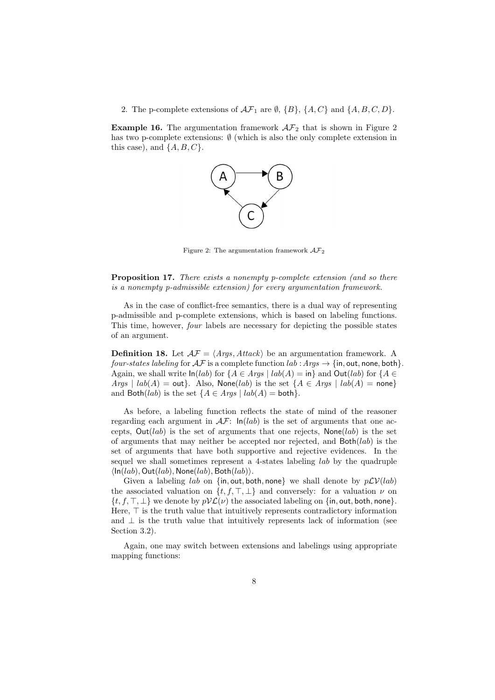### 2. The p-complete extensions of  $\mathcal{AF}_1$  are  $\emptyset$ ,  $\{B\}$ ,  $\{A, C\}$  and  $\{A, B, C, D\}$ .

**Example 16.** The argumentation framework  $A\mathcal{F}_2$  that is shown in Figure 2 has two p-complete extensions: *∅* (which is also the only complete extension in this case), and *{A, B, C}*.



Figure 2: The argumentation framework  $\mathcal{AF}_2$ 

**Proposition 17.** *There exists a nonempty p-complete extension (and so there is a nonempty p-admissible extension) for every argumentation framework.*

As in the case of conflict-free semantics, there is a dual way of representing p-admissible and p-complete extensions, which is based on labeling functions. This time, however, *four* labels are necessary for depicting the possible states of an argument.

**Definition 18.** Let  $A\mathcal{F} = \langle \text{Args}, \text{Attack} \rangle$  be an argumentation framework. A *four-states labeling* for  $\mathcal{AF}$  is a complete function  $lab : \mathcal{A} \mathcal{r} \mathcal{B} \rightarrow \{in, \text{out}, \text{none}, \text{both}\}.$ Again, we shall write  $\ln(lab)$  for  $\{A \in \text{A}rgs \mid lab(A) = \text{in}\}\$  and  $\text{Out}(lab)$  for  $\{A \in \text{A}rgs \mid lab(A) = \text{in}\}\$  $Args \mid lab(A) = \text{out}$ . Also,  $\text{None}(lab)$  is the set  $\{A \in Args \mid lab(A) = \text{none}\}$ and Both(*lab*) is the set  ${A \in Arg \mid lab(A) = both}}$ .

As before, a labeling function reflects the state of mind of the reasoner regarding each argument in  $\mathcal{AF}$ :  $\ln(lab)$  is the set of arguments that one accepts,  $Out(lab)$  is the set of arguments that one rejects,  $None(lab)$  is the set of arguments that may neither be accepted nor rejected, and Both(*lab*) is the set of arguments that have both supportive and rejective evidences. In the sequel we shall sometimes represent a 4-states labeling *lab* by the quadruple  $\langle \ln(lab), \text{Out}(lab), \text{None}(lab), \text{Both}(lab) \rangle$ .

Given a labeling *lab* on  $\{in, \text{out}, \text{both}, \text{none}\}$  we shall denote by  $p\mathcal{LV}(lab)$ the associated valuation on  $\{t, f, \top, \bot\}$  and conversely: for a valuation  $\nu$  on  $\{t, f, \top, \bot\}$  we denote by  $pV\mathcal{L}(\nu)$  the associated labeling on  $\{\text{in}, \text{out}, \text{both}, \text{none}\}.$ Here, *⊤* is the truth value that intuitively represents contradictory information and *⊥* is the truth value that intuitively represents lack of information (see Section 3.2).

Again, one may switch between extensions and labelings using appropriate mapping functions: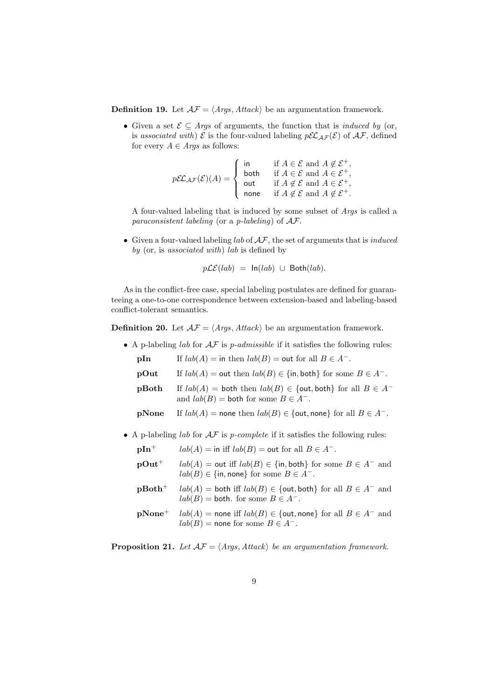**Definition 19.** Let  $A\mathcal{F} = \langle \text{A} \text{rgs}, \text{A} \text{t} \text{t} \text{t} \text{a} \text{c} \text{k} \rangle$  be an argumentation framework.

*•* Given a set *E ⊆ Args* of arguments, the function that is *induced by* (or, is *associated with*)  $\mathcal{E}$  is the four-valued labeling  $p\mathcal{EL}_{AF}(\mathcal{E})$  of  $\mathcal{AF}$ , defined for every  $A \in \text{Args}$  as follows:

$$
p\mathcal{EL}_{\mathcal{AF}}(\mathcal{E})(A) = \begin{cases} \text{in} & \text{if } A \in \mathcal{E} \text{ and } A \notin \mathcal{E}^+, \\ \text{both} & \text{if } A \in \mathcal{E} \text{ and } A \in \mathcal{E}^+, \\ \text{out} & \text{if } A \notin \mathcal{E} \text{ and } A \in \mathcal{E}^+, \\ \text{none} & \text{if } A \notin \mathcal{E} \text{ and } A \notin \mathcal{E}^+. \end{cases}
$$

A four-valued labeling that is induced by some subset of *Args* is called a *paraconsistent labeling* (or a *p-labeling*) of *AF*.

*•* Given a four-valued labeling *lab* of *AF*, the set of arguments that is *induced by* (or, is *associated with*) *lab* is defined by

$$
p\mathcal{LE}(lab) = \ln(lab) \cup \text{Both}(lab).
$$

As in the conflict-free case, special labeling postulates are defined for guaranteeing a one-to-one correspondence between extension-based and labeling-based conflict-tolerant semantics.

**Definition 20.** Let  $A\mathcal{F} = \langle Args, Attack \rangle$  be an argumentation framework.

- *•* A p-labeling *lab* for *AF* is *p-admissible* if it satisfies the following rules: **pIn** If  $lab(A) =$  in then  $lab(B) =$  out for all  $B \in A^-$ . **pOut** If  $lab(A) = \text{out}$  then  $lab(B) \in \{\text{in}, \text{both}\}\)$  for some  $B \in A^-$ . **pBoth** If  $lab(A) =$  both then  $lab(B) \in$  {out, both} for all  $B \in A^$ and  $lab(B) =$  both for some  $B \in A^-$ . **pNone** If  $lab(A)$  = none then  $lab(B) \in \{$ out, none $}$  for all  $B \in A^{-}$ .
	-
- *•* A p-labeling *lab* for *AF* is *p-complete* if it satisfies the following rules:

| $pIn^{+}$ | $lab(A) = \text{in iff } lab(B) = \text{out for all } B \in A^{-}$ .                                                                     |
|-----------|------------------------------------------------------------------------------------------------------------------------------------------|
| $pOut+$   | $lab(A) =$ out iff $lab(B) \in \{in, both\}$ for some $B \in A^-$ and<br>$lab(B) \in \{\text{in}, \text{none}\}\$ for some $B \in A^-$ . |
| $pBoth+$  | $lab(A) =$ both iff $lab(B) \in \{$ out, both} for all $B \in A^-$ and<br>$lab(B) =$ both. for some $B \in A^-$ .                        |
| $pNone^+$ | $lab(A)$ = none iff $lab(B) \in \{$ out, none} for all $B \in A^-$ and<br>$lab(B)$ = none for some $B \in A^-$ .                         |

**Proposition 21.** *Let*  $\mathcal{AF} = \langle \text{Args}, \text{Attack} \rangle$  *be an argumentation framework.*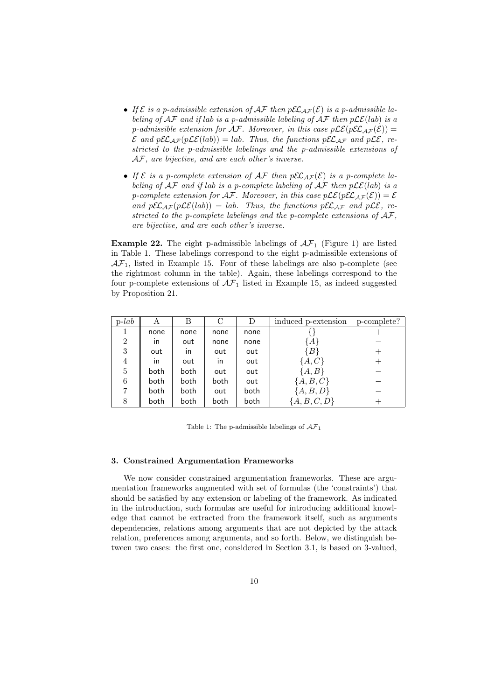- If  $\mathcal{E}$  *is a p-admissible extension of*  $\mathcal{AF}$  *then*  $p\mathcal{EL}_{AF}(\mathcal{E})$  *<i>is a p-admissible labeling of*  $AF$  *and if lab is a p-admissible labeling of*  $AF$  *then*  $p\mathcal{LE}(lab)$  *is a p*-admissible extension for  $\mathcal{AF}$ . Moreover, in this case  $p\mathcal{LE}(p\mathcal{EL}_{AF}(\mathcal{E}))$  =  $\mathcal{E}$  *and*  $p\mathcal{E}\mathcal{L}_{\mathcal{A}\mathcal{F}}(p\mathcal{L}\mathcal{E}(lab)) = lab$ *. Thus, the functions*  $p\mathcal{E}\mathcal{L}_{\mathcal{A}\mathcal{F}}$  *and*  $p\mathcal{L}\mathcal{E}$ *, restricted to the p-admissible labelings and the p-admissible extensions of AF, are bijective, and are each other's inverse.*
- If  $\mathcal{E}$  *is a p-complete extension of*  $\mathcal{AF}$  *then*  $p\mathcal{EL}_{AF}(\mathcal{E})$  *<i>is a p-complete labeling of AF and if lab is a p-complete labeling of AF then pLE*(*lab*) *is a p*-complete extension for  $\mathcal{AF}$ . Moreover, in this case  $p\mathcal{LE}(p\mathcal{EL}_{AF}(\mathcal{E})) = \mathcal{E}$ *and*  $p\mathcal{EL}_{AF}(p\mathcal{LE}(lab)) = lab$ *. Thus, the functions*  $p\mathcal{EL}_{AF}$  *and*  $p\mathcal{LE}(p\mathcal{LE}(lab)) = lab$ . Thus, the functions  $p\mathcal{EL}_{AF}$  *and*  $p\mathcal{LE}(p\mathcal{LE}(lab)) = lab$ . *stricted to the p-complete labelings and the p-complete extensions of AF, are bijective, and are each other's inverse.*

**Example 22.** The eight p-admissible labelings of  $\mathcal{AF}_1$  (Figure 1) are listed in Table 1. These labelings correspond to the eight p-admissible extensions of  $AF<sub>1</sub>$ , listed in Example 15. Four of these labelings are also p-complete (see the rightmost column in the table). Again, these labelings correspond to the four p-complete extensions of  $\mathcal{AF}_1$  listed in Example 15, as indeed suggested by Proposition 21.

| $p$ - <i>lab</i> | A            | В            | C            |      | induced p-extension | p-complete? |
|------------------|--------------|--------------|--------------|------|---------------------|-------------|
|                  | none         | none         | none         | none |                     |             |
| $\overline{2}$   | $\mathsf{I}$ | out          | none         | none | $\{A$               |             |
| 3                | out          | $\mathsf{I}$ | out          | out  | $\{B\}$             |             |
| 4                | $\mathsf{I}$ | out          | $\mathsf{I}$ | out  | $\{A,C\}$           |             |
| 5                | both         | both         | out          | out  | $\{A,B\}$           |             |
| 6                | both         | both         | both         | out  | ${A, B, C}$         |             |
|                  | both         | both         | out          | both | ${A, B, D}$         |             |
| 8                | both         | both         | both         | both | ${A, B, C, D}$      |             |

Table 1: The p-admissible labelings of *AF*<sup>1</sup>

# **3. Constrained Argumentation Frameworks**

We now consider constrained argumentation frameworks. These are argumentation frameworks augmented with set of formulas (the 'constraints') that should be satisfied by any extension or labeling of the framework. As indicated in the introduction, such formulas are useful for introducing additional knowledge that cannot be extracted from the framework itself, such as arguments dependencies, relations among arguments that are not depicted by the attack relation, preferences among arguments, and so forth. Below, we distinguish between two cases: the first one, considered in Section 3.1, is based on 3-valued,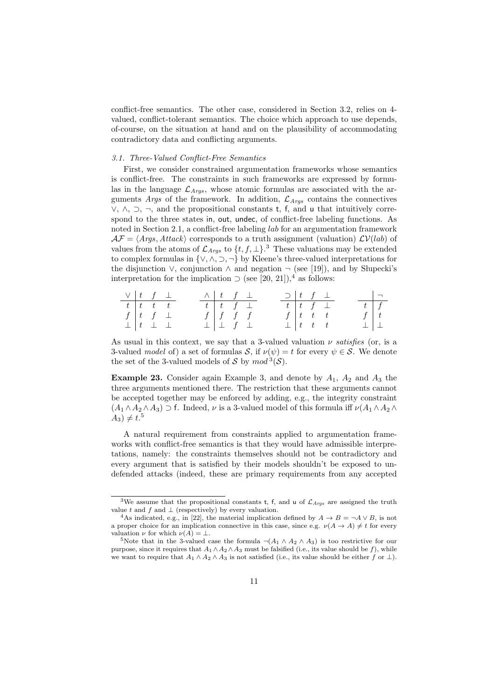conflict-free semantics. The other case, considered in Section 3.2, relies on 4 valued, conflict-tolerant semantics. The choice which approach to use depends, of-course, on the situation at hand and on the plausibility of accommodating contradictory data and conflicting arguments.

#### *3.1. Three-Valued Conflict-Free Semantics*

First, we consider constrained argumentation frameworks whose semantics is conflict-free. The constraints in such frameworks are expressed by formulas in the language  $\mathcal{L}_{Args}$ , whose atomic formulas are associated with the arguments *Args* of the framework. In addition,  $\mathcal{L}_{A\,ras}$  contains the connectives *∨*, *∧*, *⊃*, *¬*, and the propositional constants t, f, and u that intuitively correspond to the three states in, out, undec, of conflict-free labeling functions. As noted in Section 2.1, a conflict-free labeling *lab* for an argumentation framework  $\mathcal{AF} = \langle \text{Args}, \text{Attack} \rangle$  corresponds to a truth assignment (valuation)  $\mathcal{LV}(lab)$  of values from the atoms of  $\mathcal{L}_{Args}$  to  $\{t, f, \perp\}$ <sup>3</sup>. These valuations may be extended to complex formulas in *{∨, ∧, ⊃, ¬}* by Kleene's three-valued interpretations for the disjunction  $\vee$ , conjunction  $\wedge$  and negation  $\neg$  (see [19]), and by Slupecki's interpretation for the implication  $\supset$  (see [20, 21]),<sup>4</sup> as follows:

| $\vee$ $\begin{array}{ccc} t & f & \perp \end{array}$ |                             |                                             |  | $\wedge$ $\begin{array}{ccc} t & f & \perp \end{array}$ |  | $\supset$   t f $\perp$ |                          |  |                   | $\Box$ |
|-------------------------------------------------------|-----------------------------|---------------------------------------------|--|---------------------------------------------------------|--|-------------------------|--------------------------|--|-------------------|--------|
| $t$ $t$ $t$ $t$                                       |                             |                                             |  | $t$ $t$ $f$ $\bot$                                      |  | $t$ $t$ $f$ $\perp$     |                          |  | $t \mid f$        |        |
|                                                       |                             | $f \left  t \right  f \left  \right. \perp$ |  | $f \mid f \mid f \mid f$                                |  |                         | $f \mid t \mid t \mid t$ |  | $f \mid t$        |        |
|                                                       | $\perp$ $t$ $\perp$ $\perp$ |                                             |  | $\perp$ $\perp$ f $\perp$                               |  |                         | $\perp$   t t t          |  | $\perp$   $\perp$ |        |

As usual in this context, we say that a 3-valued valuation *ν satisfies* (or, is a 3-valued *model* of) a set of formulas *S*, if  $\nu(\psi) = t$  for every  $\psi \in S$ . We denote the set of the 3-valued models of *S* by  $mod$ <sup>3</sup>(*S*).

**Example 23.** Consider again Example 3, and denote by *A*1, *A*<sup>2</sup> and *A*<sup>3</sup> the three arguments mentioned there. The restriction that these arguments cannot be accepted together may be enforced by adding, e.g., the integrity constraint  $(A_1 \wedge A_2 \wedge A_3) \supset f$ . Indeed, *ν* is a 3-valued model of this formula iff  $\nu(A_1 \wedge A_2 \wedge A_3)$  $A_3$ )  $\neq t$ <sup>5</sup>

A natural requirement from constraints applied to argumentation frameworks with conflict-free semantics is that they would have admissible interpretations, namely: the constraints themselves should not be contradictory and every argument that is satisfied by their models shouldn't be exposed to undefended attacks (indeed, these are primary requirements from any accepted

<sup>3</sup>We assume that the propositional constants <sup>t</sup>, <sup>f</sup>, and <sup>u</sup> of *<sup>L</sup>Args* are assigned the truth value  $t$  and  $f$  and  $\perp$  (respectively) by every valuation.

As indicated, e.g., in [22], the material implication defined by  $A \rightarrow B = \neg A \vee B$ , is not a proper choice for an implication connective in this case, since e.g.  $\nu(A \to A) \neq t$  for every valuation  $\nu$  for which  $\nu(A) = \bot$ .

<sup>&</sup>lt;sup>5</sup>Note that in the 3-valued case the formula  $\neg(A_1 \land A_2 \land A_3)$  is too restrictive for our purpose, since it requires that  $A_1 \wedge A_2 \wedge A_3$  must be falsified (i.e., its value should be *f*), while we want to require that  $A_1 \wedge A_2 \wedge A_3$  is not satisfied (i.e., its value should be either *f* or  $\perp$ ).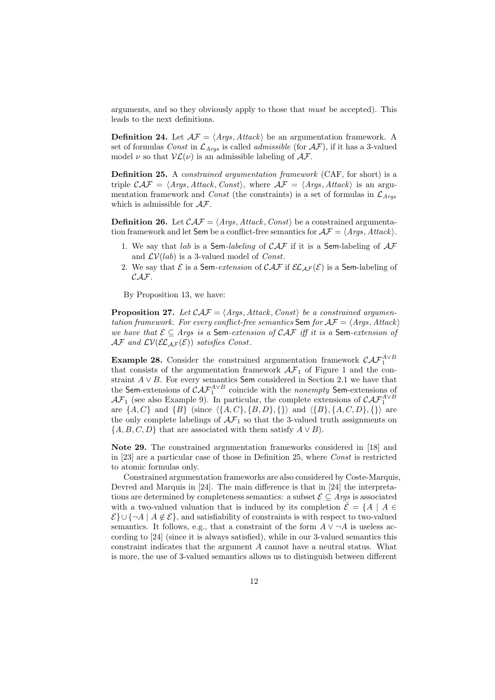arguments, and so they obviously apply to those that *must* be accepted). This leads to the next definitions.

**Definition 24.** Let  $A\mathcal{F} = \langle \text{Args}, \text{Attack} \rangle$  be an argumentation framework. A set of formulas *Const* in  $\mathcal{L}_{Args}$  is called *admissible* (for  $\mathcal{AF}$ ), if it has a 3-valued model  $\nu$  so that  $V\mathcal{L}(\nu)$  is an admissible labeling of  $\mathcal{A}\mathcal{F}$ .

**Definition 25.** A *constrained argumentation framework* (CAF, for short) is a triple  $\mathcal{CAF} = \langle \text{Args}, \text{Attack}, \text{Const} \rangle$ , where  $\mathcal{AF} = \langle \text{Args}, \text{Attack} \rangle$  is an argumentation framework and *Const* (the constraints) is a set of formulas in  $\mathcal{L}_{Args}$ which is admissible for *AF*.

**Definition 26.** Let  $\mathcal{CAF} = \langle \text{Args}, \text{Attack}, \text{Const} \rangle$  be a constrained argumentation framework and let Sem be a conflict-free semantics for  $AF = \langle Args, Attack\rangle$ .

- 1. We say that *lab* is a Sem*-labeling* of *CAF* if it is a Sem-labeling of *AF* and *LV*(*lab*) is a 3-valued model of *Const*.
- 2. We say that  $\mathcal E$  is a Sem-extension of  $\mathcal{CAT}$  if  $\mathcal{EL}_{\mathcal{AF}}(\mathcal E)$  is a Sem-labeling of *CAF*.

By Proposition 13, we have:

**Proposition 27.** *Let*  $\mathcal{CAF} = \langle \text{Args}, \text{Attack}, \text{Const} \rangle$  *be a constrained argumentation framework. For every conflict-free semantics* Sem *for*  $A\mathcal{F} = \langle \text{Args}, \text{Attack} \rangle$ *we have that E ⊆ Args is a* Sem*-extension of CAF iff it is a* Sem*-extension of*  $AF$  *and*  $LV(EL_{AF}(\mathcal{E}))$  *satisfies Const.* 

**Example 28.** Consider the constrained argumentation framework  $\mathcal{CAF}_1^{A\vee B}$ that consists of the argumentation framework  $\mathcal{AF}_1$  of Figure 1 and the constraint *A ∨ B*. For every semantics Sem considered in Section 2.1 we have that the Sem-extensions of  $\mathcal{CAF}_1^{A\vee B}$  coincide with the *nonempty* Sem-extensions of *AF*<sub>1</sub> (see also Example 9). In particular, the complete extensions of  $\mathcal{CAF}_1^{A \vee B}$ are  $\{A, C\}$  and  $\{B\}$  (since  $\{\{A, C\}, \{B, D\}, \{\}\}\$  and  $\{\{B\}, \{A, C, D\}, \{\}\}\$  are the only complete labelings of  $\mathcal{AF}_1$  so that the 3-valued truth assignments on  ${A, B, C, D}$  that are associated with them satisfy  $A \vee B$ ).

**Note 29.** The constrained argumentation frameworks considered in [18] and in [23] are a particular case of those in Definition 25, where *Const* is restricted to atomic formulas only.

Constrained argumentation frameworks are also considered by Coste-Marquis, Devred and Marquis in [24]. The main difference is that in [24] the interpretations are determined by completeness semantics: a subset  $\mathcal{E} \subseteq \text{A} \text{rgs}$  is associated with a two-valued valuation that is induced by its completion  $\hat{\mathcal{E}} = \{A \mid A \in$  $\mathcal{E}$  ∪ {¬*A* | *A* ∉  $\mathcal{E}$ }, and satisfiability of constraints is with respect to two-valued semantics. It follows, e.g., that a constraint of the form  $A \vee \neg A$  is useless according to [24] (since it is always satisfied), while in our 3-valued semantics this constraint indicates that the argument *A* cannot have a neutral status. What is more, the use of 3-valued semantics allows us to distinguish between different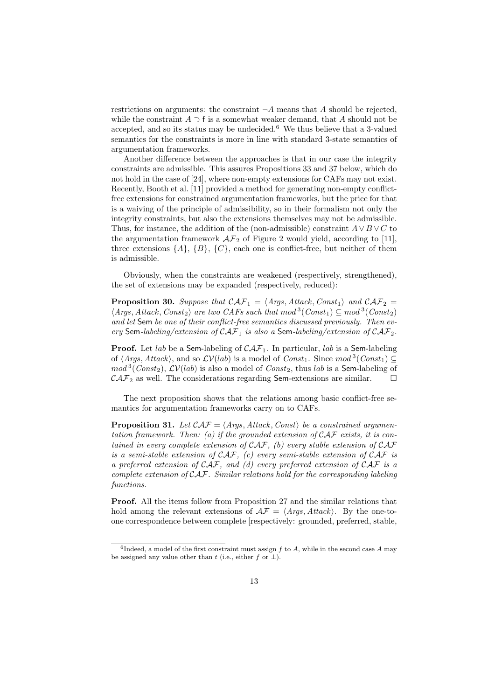restrictions on arguments: the constraint  $\neg A$  means that *A* should be rejected. while the constraint  $A \supset f$  is a somewhat weaker demand, that  $A$  should not be accepted, and so its status may be undecided.<sup>6</sup> We thus believe that a 3-valued semantics for the constraints is more in line with standard 3-state semantics of argumentation frameworks.

Another difference between the approaches is that in our case the integrity constraints are admissible. This assures Propositions 33 and 37 below, which do not hold in the case of [24], where non-empty extensions for CAFs may not exist. Recently, Booth et al. [11] provided a method for generating non-empty conflictfree extensions for constrained argumentation frameworks, but the price for that is a waiving of the principle of admissibility, so in their formalism not only the integrity constraints, but also the extensions themselves may not be admissible. Thus, for instance, the addition of the (non-admissible) constraint  $A \vee B \vee C$  to the argumentation framework  $\mathcal{AF}_2$  of Figure 2 would yield, according to [11], three extensions  $\{A\}$ ,  $\{B\}$ ,  $\{C\}$ , each one is conflict-free, but neither of them is admissible.

Obviously, when the constraints are weakened (respectively, strengthened), the set of extensions may be expanded (respectively, reduced):

**Proposition 30.** Suppose that  $\mathcal{CAF}_1 = \langle \text{Arys}, \text{Attack}, \text{Const}_1 \rangle$  and  $\mathcal{CAF}_2 =$  $\langle Args, Attack, Const<sub>2</sub> \rangle$  *are two CAFs such that*  $mod^{3}(Const_{1}) \subseteq mod^{3}(Const_{2})$ *and let* Sem *be one of their conflict-free semantics discussed previously. Then every* Sem*-labeling/extension of CAF*<sup>1</sup> *is also a* Sem*-labeling/extension of CAF*2*.*

**Proof.** Let *lab* be a Sem-labeling of *CAF*1. In particular, *lab* is a Sem-labeling of  $\langle \text{Args}, \text{Attack} \rangle$ , and so  $\mathcal{LV}(lab)$  is a model of  $\text{Const}_1$ . Since  $\text{mod}^3(\text{Const}_1) \subseteq$  $mod$ <sup>3</sup>(*Const*<sub>2</sub>),  $\mathcal{LV}(lab)$  is also a model of *Const*<sub>2</sub>, thus *lab* is a **Sem**-labeling of  $\mathcal{CAF}_2$  as well. The considerations regarding **Sem**-extensions are similar.  $\square$ 

The next proposition shows that the relations among basic conflict-free semantics for argumentation frameworks carry on to CAFs.

**Proposition 31.** *Let*  $\mathcal{CAF} = \langle \text{Args}, \text{Attack}, \text{Const} \rangle$  *be a constrained argumentation framework. Then: (a) if the grounded extension of CAF exists, it is contained in every complete extension of CAF, (b) every stable extension of CAF is a semi-stable extension of CAF, (c) every semi-stable extension of CAF is a preferred extension of CAF, and (d) every preferred extension of CAF is a complete extension of CAF. Similar relations hold for the corresponding labeling functions.*

**Proof.** All the items follow from Proposition 27 and the similar relations that hold among the relevant extensions of  $\mathcal{AF} = \langle \textit{Args}, \textit{Attack} \rangle$ . By the one-toone correspondence between complete [respectively: grounded, preferred, stable,

 ${}^{6}$ Indeed, a model of the first constraint must assign  $f$  to  $A$ , while in the second case  $A$  may be assigned any value other than  $t$  (i.e., either  $f$  or  $\perp$ ).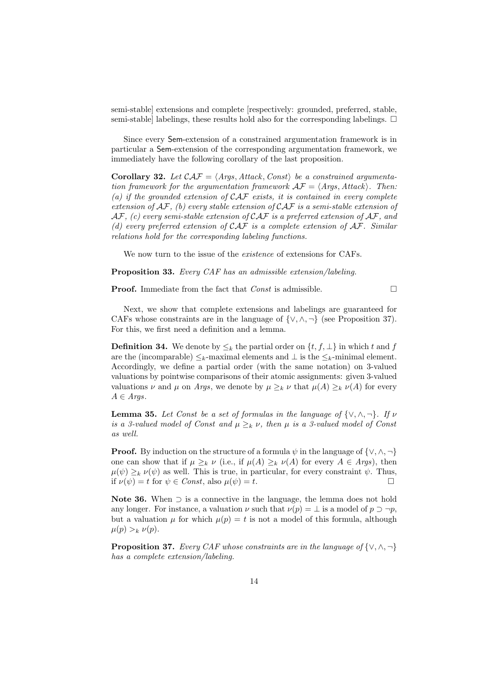semi-stable] extensions and complete [respectively: grounded, preferred, stable, semi-stable] labelings, these results hold also for the corresponding labelings.  $\Box$ 

Since every Sem-extension of a constrained argumentation framework is in particular a Sem-extension of the corresponding argumentation framework, we immediately have the following corollary of the last proposition.

**Corollary 32.** Let  $\mathcal{CAF} = \langle \text{Args}, \text{Attack}, \text{Const} \rangle$  be a constrained argumenta*tion framework for the argumentation framework*  $\mathcal{AF} = \langle \text{Args}, \text{Attack} \rangle$ . Then: *(a) if the grounded extension of CAF exists, it is contained in every complete extension of AF, (b) every stable extension of CAF is a semi-stable extension of AF, (c) every semi-stable extension of CAF is a preferred extension of AF, and (d) every preferred extension of CAF is a complete extension of AF. Similar relations hold for the corresponding labeling functions.*

We now turn to the issue of the *existence* of extensions for CAFs.

**Proposition 33.** *Every CAF has an admissible extension/labeling.*

**Proof.** Immediate from the fact that *Const* is admissible.

Next, we show that complete extensions and labelings are guaranteed for CAFs whose constraints are in the language of  $\{ \vee, \wedge, \neg \}$  (see Proposition 37). For this, we first need a definition and a lemma.

**Definition 34.** We denote by  $\leq_k$  the partial order on  $\{t, f, \perp\}$  in which *t* and *f* are the (incomparable)  $\leq_k$ -maximal elements and  $\perp$  is the  $\leq_k$ -minimal element. Accordingly, we define a partial order (with the same notation) on 3-valued valuations by pointwise comparisons of their atomic assignments: given 3-valued valuations *ν* and  $\mu$  on *Args*, we denote by  $\mu \geq_k \nu$  that  $\mu(A) \geq_k \nu(A)$  for every *A ∈ Args*.

**Lemma 35.** Let Const be a set of formulas in the language of  $\{\vee, \wedge, \neg\}$ . If  $\nu$ *is a 3-valued model of Const and*  $\mu \geq_k \nu$ , then  $\mu$  *is a 3-valued model of Const as well.*

**Proof.** By induction on the structure of a formula *ψ* in the language of *{∨, ∧, ¬}* one can show that if  $\mu \geq_k \nu$  (i.e., if  $\mu(A) \geq_k \nu(A)$  for every  $A \in \text{Args}$ ), then  $\mu(\psi) \geq_k \nu(\psi)$  as well. This is true, in particular, for every constraint  $\psi$ . Thus, if  $\nu(\psi) = t$  for  $\psi \in Const$ , also  $\mu(\psi) = t$ .

**Note 36.** When *⊃* is a connective in the language, the lemma does not hold any longer. For instance, a valuation  $\nu$  such that  $\nu(p) = \bot$  is a model of  $p \supset \neg p$ , but a valuation  $\mu$  for which  $\mu(p) = t$  is not a model of this formula, although  $\mu(p) >_k \nu(p).$ 

**Proposition 37.** *Every CAF whose constraints are in the language of {∨, ∧, ¬} has a complete extension/labeling.*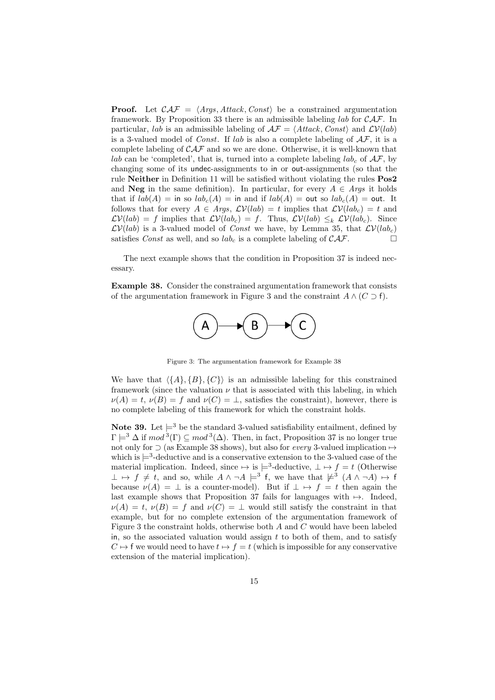**Proof.** Let  $\mathcal{CAF} = \langle \text{Args}, \text{Attack}, \text{Const} \rangle$  be a constrained argumentation framework. By Proposition 33 there is an admissible labeling *lab* for *CAF*. In particular, *lab* is an admissible labeling of  $\mathcal{AF} = \langle Attack, Const \rangle$  and  $\mathcal{LV}(lab)$ is a 3-valued model of *Const*. If *lab* is also a complete labeling of *AF*, it is a complete labeling of *CAF* and so we are done. Otherwise, it is well-known that *lab* can be 'completed', that is, turned into a complete labeling  $lab_c$  of  $AF$ , by changing some of its undec-assignments to in or out-assignments (so that the rule **Neither** in Definition 11 will be satisfied without violating the rules **Pos2** and **Neg** in the same definition). In particular, for every  $A \in \text{Ans}$  it holds that if  $lab(A) =$  in so  $lab<sub>c</sub>(A) =$  in and if  $lab(A) =$  out so  $lab<sub>c</sub>(A) =$  out. It follows that for every  $A \in \text{Args}$ ,  $\mathcal{LV}(lab) = t$  implies that  $\mathcal{LV}(lab_c) = t$  and  $\mathcal{L}V(lab) = f$  implies that  $\mathcal{L}V(lab_c) = f$ . Thus,  $\mathcal{L}V(lab) \leq_k \mathcal{L}V(lab_c)$ . Since  $\mathcal{LV}(lab)$  is a 3-valued model of *Const* we have, by Lemma 35, that  $\mathcal{LV}(lab_c)$ satisfies *Const* as well, and so  $lab_c$  is a complete labeling of  $CAF$ .

The next example shows that the condition in Proposition 37 is indeed necessary.

**Example 38.** Consider the constrained argumentation framework that consists of the argumentation framework in Figure 3 and the constraint  $A \wedge (C \supset f)$ .



Figure 3: The argumentation framework for Example 38

We have that  $\langle \{A\}, \{B\}, \{C\} \rangle$  is an admissible labeling for this constrained framework (since the valuation  $\nu$  that is associated with this labeling, in which  $\nu(A) = t$ ,  $\nu(B) = f$  and  $\nu(C) = \bot$ , satisfies the constraint), however, there is no complete labeling of this framework for which the constraint holds.

**Note 39.** Let  $\models^3$  be the standard 3-valued satisfiability entailment, defined by  $\Gamma \models^3 \Delta$  if  $mod^3(\Gamma) \subseteq mod^3(\Delta)$ . Then, in fact, Proposition 37 is no longer true not only for *⊃* (as Example 38 shows), but also for *every* 3-valued implication *7→* which is  $\models$ <sup>3</sup>-deductive and is a conservative extension to the 3-valued case of the material implication. Indeed, since  $\mapsto$  is  $\models^3$ -deductive,  $\bot \mapsto f = t$  (Otherwise  $\perp$  *→ f*  $\neq$  *t*, and so, while  $A \land \neg A \models^3 f$ , we have that  $\nvdash^3 (A \land \neg A) \mapsto f$ because  $\nu(A) = \perp$  is a counter-model). But if  $\perp \mapsto f = t$  then again the last example shows that Proposition 37 fails for languages with *7→*. Indeed,  $\nu(A) = t$ ,  $\nu(B) = f$  and  $\nu(C) = \perp$  would still satisfy the constraint in that example, but for no complete extension of the argumentation framework of Figure 3 the constraint holds, otherwise both *A* and *C* would have been labeled in, so the associated valuation would assign *t* to both of them, and to satisfy  $C \mapsto f$  we would need to have  $t \mapsto f = t$  (which is impossible for any conservative extension of the material implication).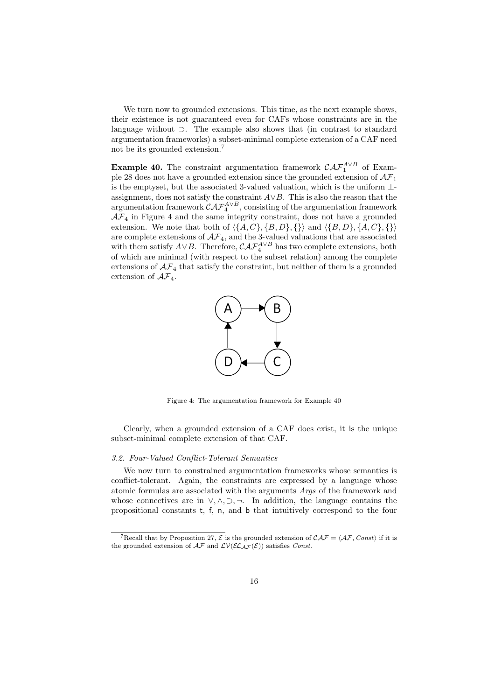We turn now to grounded extensions. This time, as the next example shows, their existence is not guaranteed even for CAFs whose constraints are in the language without *⊃*. The example also shows that (in contrast to standard argumentation frameworks) a subset-minimal complete extension of a CAF need not be its grounded extension.<sup>7</sup>

**Example 40.** The constraint argumentation framework  $\mathcal{CAF}_1^{A\vee B}$  of Example 28 does not have a grounded extension since the grounded extension of *AF*<sup>1</sup> is the emptyset, but the associated 3-valued valuation, which is the uniform *⊥* assignment, does not satisfy the constraint *A∨B*. This is also the reason that the argumentation framework  $\mathcal{CAF}^{A\vee B}_{4}$ , consisting of the argumentation framework  $A\mathcal{F}_4$  in Figure 4 and the same integrity constraint, does not have a grounded extension. We note that both of  $\langle \{A, C\}, \{B, D\}, \{\}\rangle$  and  $\langle \{B, D\}, \{A, C\}, \{\}\rangle$ are complete extensions of  $A\mathcal{F}_4$ , and the 3-valued valuations that are associated with them satisfy  $A \vee B$ . Therefore,  $\mathcal{CAF}^{A \vee B}_4$  has two complete extensions, both of which are minimal (with respect to the subset relation) among the complete extensions of  $A\mathcal{F}_4$  that satisfy the constraint, but neither of them is a grounded extension of *AF*4.



Figure 4: The argumentation framework for Example 40

Clearly, when a grounded extension of a CAF does exist, it is the unique subset-minimal complete extension of that CAF.

#### *3.2. Four-Valued Conflict-Tolerant Semantics*

We now turn to constrained argumentation frameworks whose semantics is conflict-tolerant. Again, the constraints are expressed by a language whose atomic formulas are associated with the arguments *Args* of the framework and whose connectives are in *∨, ∧, ⊃, ¬*. In addition, the language contains the propositional constants t, f, n, and b that intuitively correspond to the four

<sup>&</sup>lt;sup>7</sup>Recall that by Proposition 27,  $\mathcal{E}$  is the grounded extension of  $\mathcal{CAF} = \langle \mathcal{AF}, Const \rangle$  if it is the grounded extension of  $\mathcal{AF}$  and  $\mathcal{LV}(\mathcal{EL}_{AF}(\mathcal{E}))$  satisfies *Const*.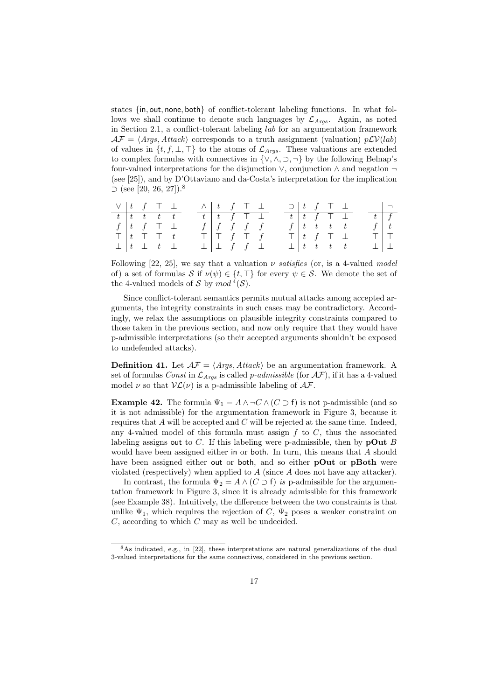states *{*in*,* out*,* none*,* both*}* of conflict-tolerant labeling functions. In what follows we shall continue to denote such languages by  $\mathcal{L}_{Args}$ . Again, as noted in Section 2.1, a conflict-tolerant labeling *lab* for an argumentation framework  $\mathcal{AF} = \langle \text{Args}, \text{Attack} \rangle$  corresponds to a truth assignment (valuation)  $p\mathcal{LV}(lab)$ of values in *{t, f, ⊥, ⊤}* to the atoms of *LArgs* . These valuations are extended to complex formulas with connectives in *{∨, ∧, ⊃, ¬}* by the following Belnap's four-valued interpretations for the disjunction *∨*, conjunction *∧* and negation *¬* (see [25]), and by D'Ottaviano and da-Costa's interpretation for the implication *⊃* (see [20, 26, 27]).<sup>8</sup>

|  |  | $\vee$ $\begin{array}{ccc} t & f & \top \end{array}$ $\bot$ $\wedge$ $\begin{array}{ccc} t & f & \top \end{array}$ |  |  |                                   |  |  | $\supset$   t f T $\perp$                                    |                                                    | $\overline{\phantom{0}}$ |
|--|--|--------------------------------------------------------------------------------------------------------------------|--|--|-----------------------------------|--|--|--------------------------------------------------------------|----------------------------------------------------|--------------------------|
|  |  | $t \mid t \mid t \mid t \mid t$                                                                                    |  |  | $t$   $t$   $f$   $\top$   $\bot$ |  |  | $t$ $\begin{array}{ccc} t & t & f \end{array}$ $\top$ $\bot$ |                                                    | $t \mid f$               |
|  |  | $f \vert t$ f $\top \bot$                                                                                          |  |  | $f \mid f \mid f \mid f \mid f$   |  |  | $f \mid t \mid t \mid t \mid t$                              |                                                    |                          |
|  |  | $\top$ $\begin{array}{ccc} t & \top & \top & t \end{array}$                                                        |  |  | $\top   \top f \top f$            |  |  |                                                              | $T   t f T \perp T   T$                            |                          |
|  |  | $\perp$ $\perp$ $t$ $\perp$                                                                                        |  |  | $\perp \perp f \quad f \perp$     |  |  |                                                              | $\perp$ $\begin{array}{ccc} t & t & t \end{array}$ |                          |

Following [22, 25], we say that a valuation  $\nu$  *satisfies* (or, is a 4-valued *model* of) a set of formulas *S* if  $\nu(\psi) \in \{t, \top\}$  for every  $\psi \in S$ . We denote the set of the 4-valued models of *S* by  $mod^4(S)$ .

Since conflict-tolerant semantics permits mutual attacks among accepted arguments, the integrity constraints in such cases may be contradictory. Accordingly, we relax the assumptions on plausible integrity constraints compared to those taken in the previous section, and now only require that they would have p-admissible interpretations (so their accepted arguments shouldn't be exposed to undefended attacks).

**Definition 41.** Let  $A\mathcal{F} = \langle \text{Args}, \text{Attack} \rangle$  be an argumentation framework. A set of formulas *Const* in  $\mathcal{L}_{Args}$  is called *p-admissible* (for  $\mathcal{AF}$ ), if it has a 4-valued model  $\nu$  so that  $V\mathcal{L}(\nu)$  is a p-admissible labeling of  $\mathcal{A}\mathcal{F}$ .

**Example 42.** The formula  $\Psi_1 = A \land \neg C \land (C \supset f)$  is not p-admissible (and so it is not admissible) for the argumentation framework in Figure 3, because it requires that *A* will be accepted and *C* will be rejected at the same time. Indeed, any 4-valued model of this formula must assign *f* to *C*, thus the associated labeling assigns out to *C*. If this labeling were p-admissible, then by **pOut** *B* would have been assigned either in or both. In turn, this means that *A* should have been assigned either out or both, and so either **pOut** or **pBoth** were violated (respectively) when applied to *A* (since *A* does not have any attacker).

In contrast, the formula  $\Psi_2 = A \wedge (C \supset f)$  *is* p-admissible for the argumentation framework in Figure 3, since it is already admissible for this framework (see Example 38). Intuitively, the difference between the two constraints is that unlike  $\Psi_1$ , which requires the rejection of *C*,  $\Psi_2$  poses a weaker constraint on *C*, according to which *C* may as well be undecided.

<sup>8</sup>As indicated, e.g., in [22], these interpretations are natural generalizations of the dual 3-valued interpretations for the same connectives, considered in the previous section.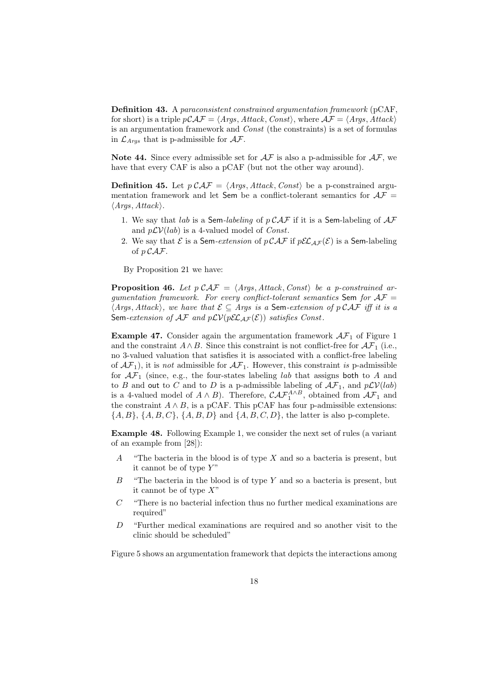**Definition 43.** A *paraconsistent constrained argumentation framework* (pCAF, for short) is a triple  $p\mathcal{CAF} = \langle \mathit{Args}, \mathit{Attack}, \mathit{Const}\rangle$ , where  $\mathcal{AF} = \langle \mathit{Args}, \mathit{Attack}\rangle$ is an argumentation framework and *Const* (the constraints) is a set of formulas in  $\mathcal{L}_{Args}$  that is p-admissible for  $\mathcal{AF}$ .

**Note 44.** Since every admissible set for *AF* is also a p-admissible for *AF*, we have that every CAF is also a pCAF (but not the other way around).

**Definition 45.** Let  $p \mathcal{CAF} = \langle \text{Args}, \text{Attack}, \text{Const} \rangle$  be a p-constrained argumentation framework and let Sem be a conflict-tolerant semantics for  $A\mathcal{F} =$ *⟨Args, Attack⟩*.

- 1. We say that *lab* is a Sem*-labeling* of *p CAF* if it is a Sem-labeling of *AF* and  $p\mathcal{L}V(lab)$  is a 4-valued model of *Const*.
- 2. We say that  $\mathcal E$  is a Sem-extension of  $p \mathcal{CAF}$  if  $p \mathcal{EL}_{AF}(\mathcal E)$  is a Sem-labeling of *p CAF*.

By Proposition 21 we have:

**Proposition 46.** *Let*  $p \mathcal{CAF} = \langle \text{Args}, \text{Attack}, \text{Const} \rangle$  *be a p-constrained argumentation framework. For every conflict-tolerant semantics* Sem *for AF* = *⟨Args, Attack⟩, we have that E ⊆ Args is a* Sem*-extension of p CAF iff it is a* Sem-extension of  $\mathcal{AF}$  and  $p\mathcal{LV}(p\mathcal{EL}_{AF}(\mathcal{E}))$  satisfies Const.

**Example 47.** Consider again the argumentation framework  $AF_1$  of Figure 1 and the constraint  $A \wedge B$ . Since this constraint is not conflict-free for  $\mathcal{AF}_1$  (i.e., no 3-valued valuation that satisfies it is associated with a conflict-free labeling of  $\mathcal{AF}_1$ ), it is *not* admissible for  $\mathcal{AF}_1$ . However, this constraint *is* p-admissible for  $\mathcal{AF}_1$  (since, e.g., the four-states labeling *lab* that assigns both to *A* and to *B* and out to *C* and to *D* is a p-admissible labeling of  $A\mathcal{F}_1$ , and  $p\mathcal{LV}(lab)$ is a 4-valued model of  $A \wedge B$ ). Therefore,  $\mathcal{CAF}_1^{A \wedge B}$ , obtained from  $\mathcal{AF}_1$  and the constraint  $A \wedge B$ , is a pCAF. This pCAF has four p-admissible extensions: *{A, B}*, *{A, B, C}*, *{A, B, D}* and *{A, B, C, D}*, the latter is also p-complete.

**Example 48.** Following Example 1, we consider the next set of rules (a variant of an example from [28]):

- *A* "The bacteria in the blood is of type *X* and so a bacteria is present, but it cannot be of type *Y* "
- *B* "The bacteria in the blood is of type *Y* and so a bacteria is present, but it cannot be of type *X*"
- *C* "There is no bacterial infection thus no further medical examinations are required"
- *D* "Further medical examinations are required and so another visit to the clinic should be scheduled"

Figure 5 shows an argumentation framework that depicts the interactions among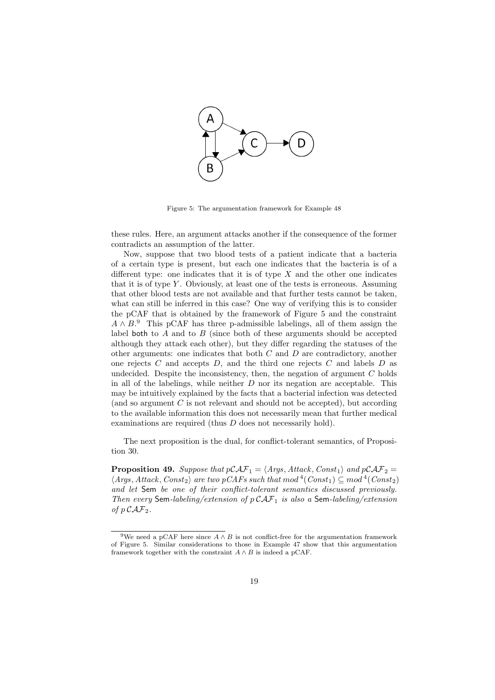

Figure 5: The argumentation framework for Example 48

these rules. Here, an argument attacks another if the consequence of the former contradicts an assumption of the latter.

Now, suppose that two blood tests of a patient indicate that a bacteria of a certain type is present, but each one indicates that the bacteria is of a different type: one indicates that it is of type *X* and the other one indicates that it is of type *Y* . Obviously, at least one of the tests is erroneous. Assuming that other blood tests are not available and that further tests cannot be taken, what can still be inferred in this case? One way of verifying this is to consider the pCAF that is obtained by the framework of Figure 5 and the constraint *A ∧ B*. <sup>9</sup> This pCAF has three p-admissible labelings, all of them assign the label both to *A* and to *B* (since both of these arguments should be accepted although they attack each other), but they differ regarding the statuses of the other arguments: one indicates that both *C* and *D* are contradictory, another one rejects *C* and accepts *D*, and the third one rejects *C* and labels *D* as undecided. Despite the inconsistency, then, the negation of argument *C* holds in all of the labelings, while neither *D* nor its negation are acceptable. This may be intuitively explained by the facts that a bacterial infection was detected (and so argument *C* is not relevant and should not be accepted), but according to the available information this does not necessarily mean that further medical examinations are required (thus *D* does not necessarily hold).

The next proposition is the dual, for conflict-tolerant semantics, of Proposition 30.

**Proposition 49.** Suppose that  $p\mathcal{CAF}_1 = \langle Args, Attack, Const_1 \rangle$  and  $p\mathcal{CAF}_2 =$  $\langle Args, Attack, Const<sub>2</sub> \rangle$  *are two pCAFs such that*  $mod$ <sup>4</sup> $(Const<sub>1</sub>) \subseteq mod$ <sup>4</sup> $(Const<sub>2</sub>)$ *and let* Sem *be one of their conflict-tolerant semantics discussed previously. Then every* Sem*-labeling/extension of p CAF*<sup>1</sup> *is also a* Sem*-labeling/extension of*  $p$   $CAF_2$ .

<sup>&</sup>lt;sup>9</sup>We need a pCAF here since  $A \wedge B$  is not conflict-free for the argumentation framework of Figure 5. Similar considerations to those in Example 47 show that this argumentation framework together with the constraint  $A \wedge B$  is indeed a pCAF.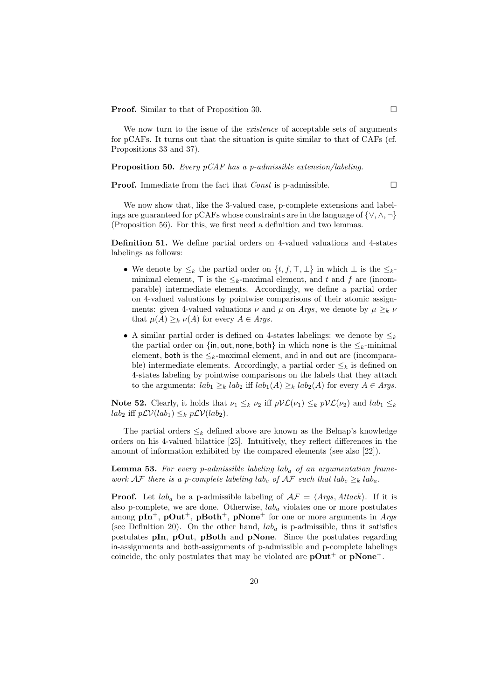**Proof.** Similar to that of Proposition 30.

We now turn to the issue of the *existence* of acceptable sets of arguments for pCAFs. It turns out that the situation is quite similar to that of CAFs (cf. Propositions 33 and 37).

**Proposition 50.** *Every pCAF has a p-admissible extension/labeling.*

**Proof.** Immediate from the fact that *Const* is p-admissible.

We now show that, like the 3-valued case, p-complete extensions and labelings are guaranteed for pCAFs whose constraints are in the language of *{∨, ∧, ¬}* (Proposition 56). For this, we first need a definition and two lemmas.

**Definition 51.** We define partial orders on 4-valued valuations and 4-states labelings as follows:

- *•* We denote by *≤<sup>k</sup>* the partial order on *{t, f, ⊤, ⊥}* in which *⊥* is the *≤k*minimal element,  $\top$  is the  $\leq_k$ -maximal element, and *t* and *f* are (incomparable) intermediate elements. Accordingly, we define a partial order on 4-valued valuations by pointwise comparisons of their atomic assignments: given 4-valued valuations  $\nu$  and  $\mu$  on *Args*, we denote by  $\mu \geq_k \nu$ that  $\mu(A) \geq_k \nu(A)$  for every  $A \in \text{A}$ *rgs*.
- *•* A similar partial order is defined on 4-states labelings: we denote by *≤<sup>k</sup>* the partial order on  $\{in, \text{out}, \text{none}, \text{both}\}$  in which none is the  $\leq_k$ -minimal element, both is the  $\leq_k$ -maximal element, and in and out are (incomparable) intermediate elements. Accordingly, a partial order  $\leq_k$  is defined on 4-states labeling by pointwise comparisons on the labels that they attach to the arguments:  $lab_1 \geq_k lab_2$  iff  $lab_1(A) \geq_k lab_2(A)$  for every  $A \in \text{A}rgs$ .

**Note 52.** Clearly, it holds that  $\nu_1 \leq_k \nu_2$  iff  $p\mathcal{VL}(\nu_1) \leq_k p\mathcal{VL}(\nu_2)$  and  $lab_1 \leq_k$ *lab*<sub>2</sub> iff *pLV*(*lab*<sub>1</sub>) ≤*k pLV*(*lab*<sub>2</sub>).

The partial orders  $\leq_k$  defined above are known as the Belnap's knowledge orders on his 4-valued bilattice [25]. Intuitively, they reflect differences in the amount of information exhibited by the compared elements (see also [22]).

**Lemma 53.** *For every p-admissible labeling lab<sup>a</sup> of an argumentation framework*  $\mathcal{AF}$  *there is a p-complete labeling*  $lab_c$  *<i>of*  $\mathcal{AF}$  *such that*  $lab_c \geq_k lab_a$ *.* 

**Proof.** Let  $lab_a$  be a p-admissible labeling of  $A\mathcal{F} = \langle Args, Attack\rangle$ . If it is also p-complete, we are done. Otherwise, *lab<sup>a</sup>* violates one or more postulates among **pIn**<sup>+</sup>, **pOut**<sup>+</sup>, **pBoth**<sup>+</sup>, **pNone**<sup>+</sup> for one or more arguments in *Args* (see Definition 20). On the other hand,  $lab<sub>a</sub>$  is p-admissible, thus it satisfies postulates **pIn**, **pOut**, **pBoth** and **pNone**. Since the postulates regarding in-assignments and both-assignments of p-admissible and p-complete labelings coincide, the only postulates that may be violated are  $pOut^+$  or  $pNone^+$ .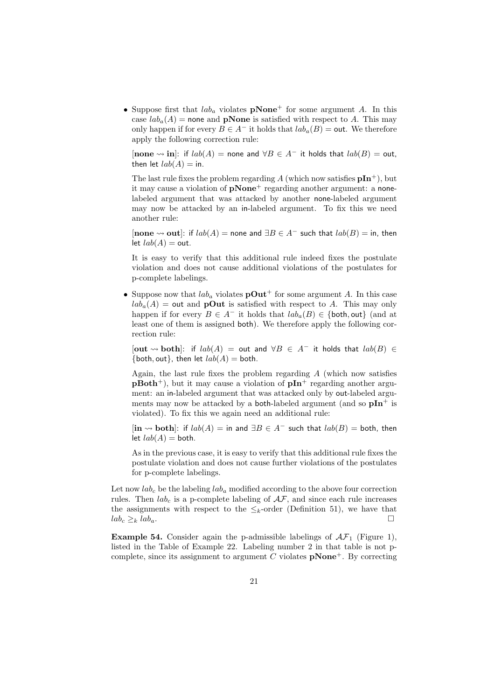• Suppose first that  $lab<sub>a</sub>$  violates  $\bf{pNone}^+$  for some argument *A*. In this case  $lab_a(A)$  = none and **pNone** is satisfied with respect to *A*. This may only happen if for every *B* ∈ *A*<sup>−</sup> it holds that  $lab_a(B) =$  out. We therefore apply the following correction rule:

 $[$ **none**  $\leadsto$ **in**]: if  $lab(A) =$ **none** and  $\forall B \in A^-$  it holds that  $lab(B) =$ **out**,then let  $lab(A) =$  in.

The last rule fixes the problem regarding A (which now satisfies  $pIn^+$ ), but it may cause a violation of **pNone**<sup>+</sup> regarding another argument: a nonelabeled argument that was attacked by another none-labeled argument may now be attacked by an in-labeled argument. To fix this we need another rule:

 $[$ none  $\rightarrow$  out $]$ : if  $lab(A)$  = none and  $\exists B \in A^-$  such that  $lab(B)$  = in, then  $let$   $lab(A) = out.$ 

It is easy to verify that this additional rule indeed fixes the postulate violation and does not cause additional violations of the postulates for p-complete labelings.

• Suppose now that  $lab_a$  violates  $\mathbf{pOut}^+$  for some argument *A*. In this case  $lab<sub>a</sub>(A) =$  out and **pOut** is satisfied with respect to *A*. This may only happen if for every  $B \in A^-$  it holds that  $lab_a(B) \in \{$  both, out $\}$  (and at least one of them is assigned both). We therefore apply the following correction rule:

[**out both**]: if *lab*(*A*) = out and *∀B ∈ A<sup>−</sup>* it holds that *lab*(*B*) *∈*  $\{$  both, out $\}$ , then let  $lab(A) =$  both.

Again, the last rule fixes the problem regarding *A* (which now satisfies **pBoth**<sup>+</sup>), but it may cause a violation of **pIn**<sup>+</sup> regarding another argument: an in-labeled argument that was attacked only by out-labeled arguments may now be attacked by a **both-labeled** argument (and so  $pIn^+$  is violated). To fix this we again need an additional rule:

 $[\textbf{in} \leadsto \textbf{both}]$ : if  $lab(A) = \textbf{in}$  and  $\exists B \in A^-$  such that  $lab(B) = \textbf{both}$ , then let  $lab(A) =$  both.

As in the previous case, it is easy to verify that this additional rule fixes the postulate violation and does not cause further violations of the postulates for p-complete labelings.

Let now  $lab_c$  be the labeling  $lab_a$  modified according to the above four correction rules. Then  $lab_c$  is a p-complete labeling of  $\mathcal{AF}$ , and since each rule increases the assignments with respect to the  $\leq_k$ -order (Definition 51), we have that  $lab_c \geq_k lab_a.$ 

**Example 54.** Consider again the p-admissible labelings of  $AF_1$  (Figure 1), listed in the Table of Example 22. Labeling number 2 in that table is not pcomplete, since its assignment to argument  $C$  violates  $\mathbf{pNone}^+$ . By correcting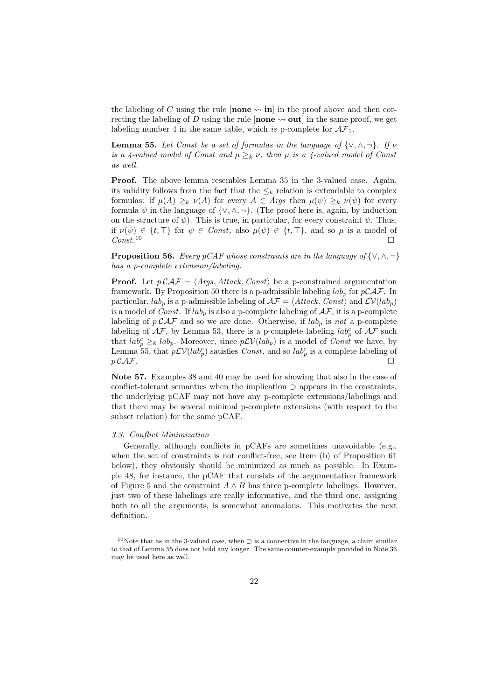the labeling of C using the rule  $\left[$ **none**  $\rightarrow$  **in**] in the proof above and then correcting the labeling of *D* using the rule [**none**  $\rightsquigarrow$  **out**] in the same proof, we get labeling number 4 in the same table, which *is* p-complete for  $A\mathcal{F}_1$ .

**Lemma 55.** *Let Const be a set of formulas in the language of*  $\{\vee, \wedge, \neg\}$ *. If*  $\nu$ *is a 4-valued model of Const and*  $\mu \geq_k \nu$ , then  $\mu$  *is a 4-valued model of Const as well.*

**Proof.** The above lemma resembles Lemma 35 in the 3-valued case. Again, its validity follows from the fact that the  $\leq_k$  relation is extendable to complex formulas: if  $\mu(A) \geq_k \nu(A)$  for every  $A \in \text{Args}$  then  $\mu(\psi) \geq_k \nu(\psi)$  for every formula  $\psi$  in the language of  $\{\vee, \wedge, \neg\}$ . (The proof here is, again, by induction on the structure of  $\psi$ ). This is true, in particular, for every constraint  $\psi$ . Thus, if  $\nu(\psi) \in \{t, \top\}$  for  $\psi \in Const$ , also  $\mu(\psi) \in \{t, \top\}$ , and so  $\mu$  is a model of *Const*.  $10 \Box$ 

**Proposition 56.** *Every pCAF whose constraints are in the language of {∨, ∧, ¬} has a p-complete extension/labeling.*

**Proof.** Let  $p \mathcal{C} \mathcal{A} \mathcal{F} = \langle \text{Args}, \text{Attack}, \text{Const} \rangle$  be a p-constrained argumentation framework. By Proposition 50 there is a p-admissible labeling  $lab_p$  for  $pCAF$ . In particular,  $lab_p$  is a p-admissible labeling of  $\mathcal{AF} = \langle Attack, Const \rangle$  and  $\mathcal{LV}(lab_p)$ is a model of *Const*. If  $lab_p$  is also a p-complete labeling of  $AF$ , it is a p-complete labeling of  $p \mathcal{CAF}$  and so we are done. Otherwise, if  $lab_p$  is *not* a p-complete labeling of  $A\mathcal{F}$ , by Lemma 53, there is a p-complete labeling  $lab_p^c$  of  $A\mathcal{F}$  such that  $lab_p^c \geq_k lab_p$ . Moreover, since  $p\mathcal{LV}(lab_p)$  is a model of *Const* we have, by Lemma 55, that  $p\mathcal{LV}(lab_p^c)$  satisfies *Const*, and so  $lab_p^c$  is a complete labeling of  $p$  *CAF*.

**Note 57.** Examples 38 and 40 may be used for showing that also in the case of conflict-tolerant semantics when the implication *⊃* appears in the constraints, the underlying pCAF may not have any p-complete extensions/labelings and that there may be several minimal p-complete extensions (with respect to the subset relation) for the same pCAF.

#### *3.3. Conflict Minimization*

Generally, although conflicts in pCAFs are sometimes unavoidable (e.g., when the set of constraints is not conflict-free, see Item (b) of Proposition 61 below), they obviously should be minimized as much as possible. In Example 48, for instance, the pCAF that consists of the argumentation framework of Figure 5 and the constraint  $A \wedge B$  has three p-complete labelings. However, just two of these labelings are really informative, and the third one, assigning both to all the arguments, is somewhat anomalous. This motivates the next definition.

<sup>10</sup>Note that as in the 3-valued case, when *<sup>⊃</sup>* is a connective in the language, a claim similar to that of Lemma 55 does not hold any longer. The same counter-example provided in Note 36 may be used here as well.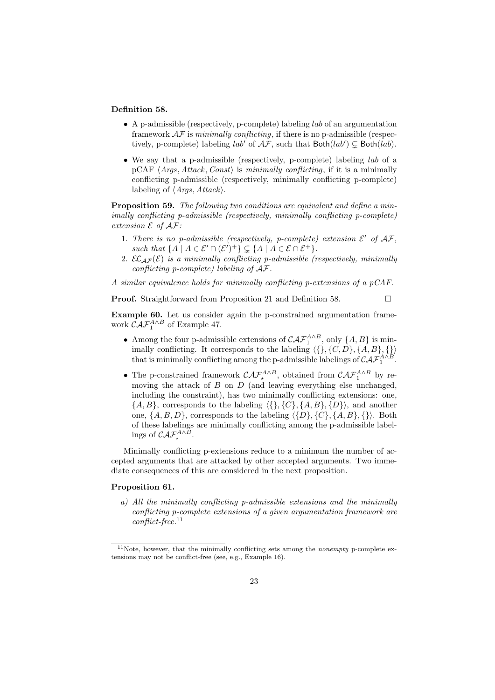#### **Definition 58.**

- *•* A p-admissible (respectively, p-complete) labeling *lab* of an argumentation framework *AF* is *minimally conflicting*, if there is no p-admissible (respectively, p-complete) labeling  $lab'$  of  $AF$ , such that  $Both(lab') \subsetneq Both(lab)$ .
- *•* We say that a p-admissible (respectively, p-complete) labeling *lab* of a pCAF *⟨Args, Attack, Const⟩* is *minimally conflicting*, if it is a minimally conflicting p-admissible (respectively, minimally conflicting p-complete) labeling of *⟨Args, Attack⟩*.

**Proposition 59.** *The following two conditions are equivalent and define a minimally conflicting p-admissible (respectively, minimally conflicting p-complete) extension*  $\mathcal E$  *of*  $\mathcal A\mathcal F$ *:* 

- 1. There is no p-admissible (respectively, p-complete) extension  $\mathcal{E}'$  of  $\mathcal{AF}$ , *such that*  $\{A \mid A \in \mathcal{E}' \cap (\mathcal{E}')^+\} \subsetneq \{A \mid A \in \mathcal{E} \cap \mathcal{E}^+\}.$
- 2. *EL*<sub>*AF*</sub>( $\mathcal{E}$ ) *is a minimally conflicting p-admissible (respectively, minimally conflicting p-complete) labeling of AF.*

*A similar equivalence holds for minimally conflicting p-extensions of a pCAF.*

**Proof.** Straightforward from Proposition 21 and Definition 58. □

**Example 60.** Let us consider again the p-constrained argumentation framework  $\mathcal{CAF}_1^{A\wedge B}$  of Example 47.

- *•* Among the four p-admissible extensions of  $\mathcal{CAF}_1^{A \wedge B}$ , only  $\{A, B\}$  is minimally conflicting. It corresponds to the labeling  $\langle \{\}, \{C, D\}, \{A, B\}, \{\}\rangle$ that is minimally conflicting among the p-admissible labelings of  $\mathcal{CAT}_{1}^{A\wedge B}$ .
- The p-constrained framework  $\mathcal{CAF}_{\star}^{A\wedge B}$ , obtained from  $\mathcal{CAF}_{1}^{A\wedge B}$  by removing the attack of *B* on *D* (and leaving everything else unchanged, including the constraint), has two minimally conflicting extensions: one, *{A, B}*, corresponds to the labeling *⟨{}, {C}, {A, B}, {D}⟩*, and another one,  $\{A, B, D\}$ , corresponds to the labeling  $\langle \{D\}, \{C\}, \{A, B\}, \{\}\rangle$ . Both of these labelings are minimally conflicting among the p-admissible labelings of  $\mathcal{CAF}_{\star}^{A\wedge B}$ .

Minimally conflicting p-extensions reduce to a minimum the number of accepted arguments that are attacked by other accepted arguments. Two immediate consequences of this are considered in the next proposition.

# **Proposition 61.**

*a) All the minimally conflicting p-admissible extensions and the minimally conflicting p-complete extensions of a given argumentation framework are conflict-free.*<sup>11</sup>

<sup>11</sup>Note, however, that the minimally conflicting sets among the *nonempty* p-complete extensions may not be conflict-free (see, e.g., Example 16).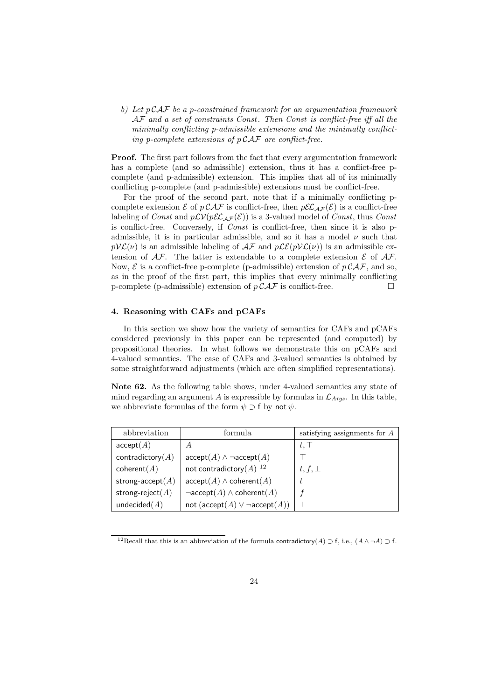*b) Let p CAF be a p-constrained framework for an argumentation framework AF and a set of constraints Const . Then Const is conflict-free iff all the minimally conflicting p-admissible extensions and the minimally conflicting p-complete extensions of p CAF are conflict-free.*

**Proof.** The first part follows from the fact that every argumentation framework has a complete (and so admissible) extension, thus it has a conflict-free pcomplete (and p-admissible) extension. This implies that all of its minimally conflicting p-complete (and p-admissible) extensions must be conflict-free.

For the proof of the second part, note that if a minimally conflicting pcomplete extension  $\mathcal E$  of  $p \mathcal{CAF}$  is conflict-free, then  $p\mathcal{EL}_{AF}(\mathcal{E})$  is a conflict-free labeling of *Const* and  $p\mathcal{LV}(p\mathcal{EL}_{AF}(\mathcal{E}))$  is a 3-valued model of *Const*, thus *Const* is conflict-free. Conversely, if *Const* is conflict-free, then since it is also padmissible, it is in particular admissible, and so it has a model *ν* such that  $pV\mathcal{L}(v)$  is an admissible labeling of  $\mathcal{AF}$  and  $p\mathcal{LE}(pV\mathcal{L}(v))$  is an admissible extension of  $A\mathcal{F}$ . The latter is extendable to a complete extension  $\mathcal E$  of  $A\mathcal{F}$ . Now,  $\mathcal{E}$  is a conflict-free p-complete (p-admissible) extension of  $p \mathcal{CAF}$ , and so, as in the proof of the first part, this implies that every minimally conflicting p-complete (p-admissible) extension of  $p \mathcal{CAF}$  is conflict-free.

# **4. Reasoning with CAFs and pCAFs**

In this section we show how the variety of semantics for CAFs and pCAFs considered previously in this paper can be represented (and computed) by propositional theories. In what follows we demonstrate this on pCAFs and 4-valued semantics. The case of CAFs and 3-valued semantics is obtained by some straightforward adjustments (which are often simplified representations).

**Note 62.** As the following table shows, under 4-valued semantics any state of mind regarding an argument *A* is expressible by formulas in  $\mathcal{L}_{Aras}$ . In this table, we abbreviate formulas of the form  $\psi \supset f$  by not  $\psi$ .

| abbreviation        | formula                                                             | satisfying assignments for $A$ |
|---------------------|---------------------------------------------------------------------|--------------------------------|
| accept(A)           | A                                                                   | $t$ , $\perp$                  |
| contradictory $(A)$ | $\operatorname{accept}(A) \wedge \neg \operatorname{accept}(A)$     |                                |
| coherent(A)         | not contradictory $(A)$ <sup>12</sup>                               | $t, f, \perp$                  |
| strong-accept $(A)$ | $\operatorname{accept}(A) \wedge \operatorname{coherent}(A)$        | t.                             |
| strong-reject $(A)$ | $\neg \textsf{accept}(A) \land \textsf{coherent}(A)$                |                                |
| undecided $(A)$     | not $(\operatorname{accept}(A) \vee \neg \operatorname{accept}(A))$ |                                |

<sup>12</sup>Recall that this is an abbreviation of the formula contradictory(*A*) *<sup>⊃</sup>* <sup>f</sup>, i.e., (*<sup>A</sup> ∧ ¬A*) *<sup>⊃</sup>* <sup>f</sup>.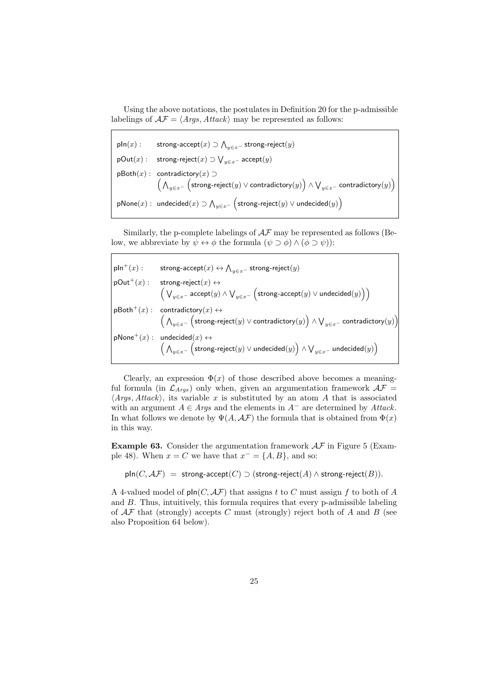Using the above notations, the postulates in Definition 20 for the p-admissible labelings of  $\mathcal{AF} = \langle \text{Args}, \text{Attack} \rangle$  may be represented as follows:

 $\mathsf{pln}(x)$  : strong-accept $(x) \supset \bigwedge_{y \in x^-}$  strong-reject $(y)$  $pOut(x)$ : strong-reject $(x) \supset \bigvee_{y \in x^-}$  accept $(y)$ pBoth(*x*) : contradictory(*x*) *⊃* ( ∧ *y∈x<sup>−</sup>*  $\Big(\textsf{strong-reject}(y) \vee \textsf{contradictory}(y)\Big) \wedge \bigvee_{y \in x^-} \textsf{contractory}(y)\Big)$  $\mathsf{pNone}(x):$  undecided $(x) \supset \bigwedge_{y \in x^-}$  $\Big(\mathsf{strong\text{-}reject}(y) \lor \mathsf{undecided}(y)\Big)$ 

Similarly, the p-complete labelings of *AF* may be represented as follows (Below, we abbreviate by  $\psi \leftrightarrow \phi$  the formula  $(\psi \supset \phi) \land (\phi \supset \psi)$ :

 $\mathsf{pln}^+(x): \qquad \mathsf{strong}\text{-} \mathsf{accept}(x) \leftrightarrow \bigwedge_{y \in x^-} \mathsf{strong}\text{-} \mathsf{reject}(y)$  $pOut<sup>+</sup>(x)$ : strong  $\text{strong-reject}(x) \leftrightarrow$ ∨ *<sup>y</sup>∈x<sup>−</sup>* accept(*y*) *<sup>∧</sup>* ∨ *y∈x<sup>−</sup>*  $\Big(\mathsf{strong\text{-}accept}(y) \lor \mathsf{undecided}(y)\Big)\Big)$  $p\mathsf{Both}^+(x)$ :  $\text{contradictory}(x) \leftrightarrow$ ∧ *y∈x<sup>−</sup>*  $\Big(\textsf{strong-reject}(y) \vee \textsf{contradictory}(y)\Big) \wedge \bigvee_{y \in x^-} \textsf{contractory}(y)\Big)$  $p\text{None}^+(x)$  : undecided ( ∧ *y∈x<sup>−</sup>*  $p\text{None}^+(x):$  undecided $(x) \leftrightarrow$  $\left(\mathsf{strong}\text{-}\mathsf{reject}(y) \lor \mathsf{undecided}(y)\right) \land \bigvee_{y \in x^-} \mathsf{undecided}(y)\right)$ 

Clearly, an expression  $\Phi(x)$  of those described above becomes a meaningful formula (in  $\mathcal{L}_{Args}$ ) only when, given an argumentation framework  $\mathcal{AF}$  = *⟨Args, Attack⟩*, its variable *x* is substituted by an atom *A* that is associated with an argument  $A \in \text{Arg}$  and the elements in  $A^-$  are determined by  $\text{Attack}$ . In what follows we denote by  $\Psi(A, \mathcal{A}\mathcal{F})$  the formula that is obtained from  $\Phi(x)$ in this way.

**Example 63.** Consider the argumentation framework *AF* in Figure 5 (Example 48). When  $x = C$  we have that  $x^- = \{A, B\}$ , and so:

 $\textsf{pln}(C, \mathcal{AF}) = \textsf{strong-accept}(C) \supset (\textsf{strong-reject}(A) \land \textsf{strong-reject}(B)).$ 

A 4-valued model of pIn(*C, AF*) that assigns *t* to *C* must assign *f* to both of *A* and *B*. Thus, intuitively, this formula requires that every p-admissible labeling of *AF* that (strongly) accepts *C* must (strongly) reject both of *A* and *B* (see also Proposition 64 below).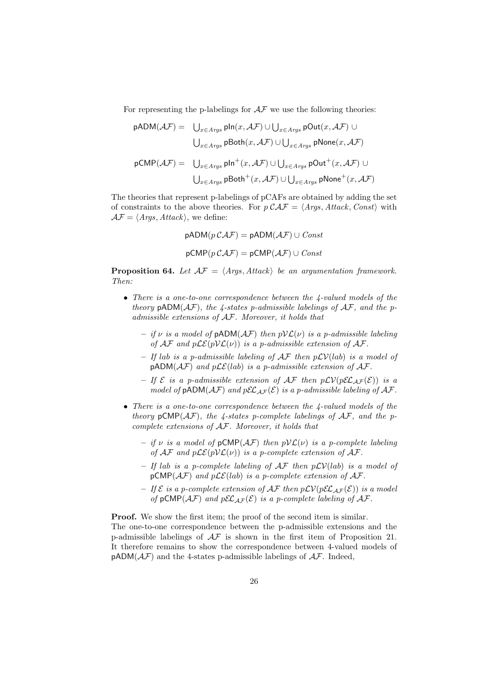For representing the p-labelings for  $A\mathcal{F}$  we use the following theories:

$$
\begin{array}{rl} \text{pADM}(\mathcal{AF}) = & \bigcup_{x \in \mathit{A}rgs} \text{pln}(x, \mathcal{AF}) \cup \bigcup_{x \in \mathit{A}rgs} \text{pOut}(x, \mathcal{AF}) \cup \\ & & \bigcup_{x \in \mathit{A}rgs} \text{pBoth}(x, \mathcal{AF}) \cup \bigcup_{x \in \mathit{A}rgs} \text{pNone}(x, \mathcal{AF}) \end{array}
$$
\n
$$
\text{pCMP}(\mathcal{AF}) = & \bigcup_{x \in \mathit{A}rgs} \text{pln}^+(x, \mathcal{AF}) \cup \bigcup_{x \in \mathit{A}rgs} \text{pOut}^+(x, \mathcal{AF}) \cup \\ & & \bigcup_{x \in \mathit{A}rgs} \text{pBoth}^+(x, \mathcal{AF}) \cup \bigcup_{x \in \mathit{A}rgs} \text{pNone}^+(x, \mathcal{AF}) \end{array}
$$

The theories that represent p-labelings of pCAFs are obtained by adding the set of constraints to the above theories. For  $p \mathcal{CAF} = \langle \text{Args}, \text{Attack}, \text{Const} \rangle$  with  $AF = \langle Args, Attack\rangle$ , we define:

$$
pADM(p C \mathcal{A} \mathcal{F}) = pADM(\mathcal{A} \mathcal{F}) \cup Const
$$

$$
pCMP(p C \mathcal{A} \mathcal{F}) = pCMP(\mathcal{A} \mathcal{F}) \cup Const
$$

**Proposition 64.** *Let*  $AF = \langle Arg, Attack \rangle$  *be an argumentation framework. Then:*

- *• There is a one-to-one correspondence between the 4-valued models of the theory*  $pADM(\mathcal{AF})$ *, the 4-states* p-admissible labelings of  $\mathcal{AF}$ *, and the padmissible extensions of AF. Moreover, it holds that*
	- **–** *if ν is a model of* pADM(*AF*) *then pVL*(*ν*) *is a p-admissible labeling of*  $\mathcal{AF}$  *and*  $p\mathcal{LE}(p\mathcal{VL}(\nu))$  *is a p-admissible extension of*  $\mathcal{AF}$ *.*
	- **–** *If lab is a p-admissible labeling of AF then pLV*(*lab*) *is a model of*  $pADM(\mathcal{AF})$  *and*  $p\mathcal{LE}(lab)$  *is a p-admissible extension of*  $\mathcal{AF}$ *.*
	- $-$  *If*  $\mathcal{E}$  *is a p-admissible extension of*  $\mathcal{AF}$  *then*  $p\mathcal{LV}(p\mathcal{EL}_{AF}(\mathcal{E}))$  *is a model of*  $pADM(\mathcal{AF})$  *and*  $pEL_{\mathcal{AF}}(\mathcal{E})$  *is a p-admissible labeling of*  $\mathcal{AF}$ *.*
- *• There is a one-to-one correspondence between the 4-valued models of the theory*  $pCMP(\mathcal{AF})$ *, the 4-states p-complete labelings of*  $\mathcal{AF}$ *, and the pcomplete extensions of AF. Moreover, it holds that*
	- **–** *if ν is a model of* pCMP(*AF*) *then pVL*(*ν*) *is a p-complete labeling of*  $\mathcal{AF}$  *and*  $p\mathcal{LE}(p\mathcal{VL}(\nu))$  *is a p-complete extension of*  $\mathcal{AF}$ *.*
	- **–** *If lab is a p-complete labeling of AF then pLV*(*lab*) *is a model of*  $pCMP(\mathcal{AF})$  *and*  $p\mathcal{LE}(lab)$  *is a p-complete extension of*  $\mathcal{AF}$ *.*
	- $-If\mathcal{E}$  *is a p-complete extension of AF then*  $p\mathcal{L}V(p \mathcal{E} \mathcal{L}_{AF}(\mathcal{E}))$  *is a model of*  $pCMP(\mathcal{AF})$  *and*  $pEL_{\mathcal{AF}}(\mathcal{E})$  *is a p-complete labeling of*  $\mathcal{AF}$ *.*

**Proof.** We show the first item; the proof of the second item is similar. The one-to-one correspondence between the p-admissible extensions and the p-admissible labelings of *AF* is shown in the first item of Proposition 21. It therefore remains to show the correspondence between 4-valued models of  $pADM(\mathcal{AF})$  and the 4-states p-admissible labelings of  $\mathcal{AF}$ . Indeed,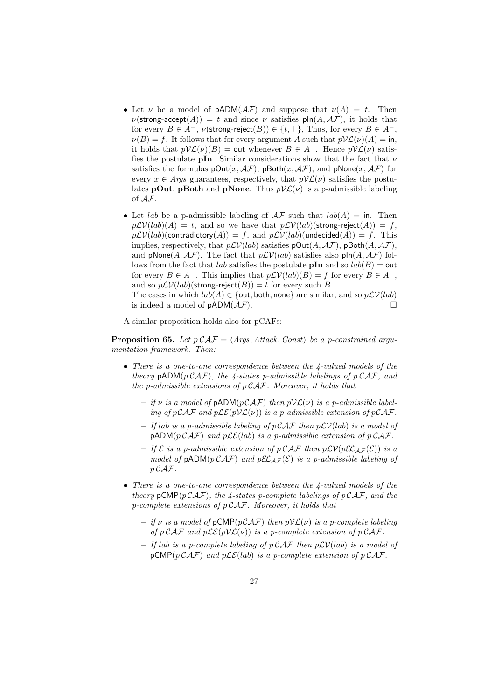- Let *ν* be a model of  $pADM(\mathcal{AF})$  and suppose that  $\nu(A) = t$ . Then  $\nu(\text{strong-accept}(A)) = t$  and since  $\nu$  satisfies  $\text{pln}(A, \mathcal{AF})$ , it holds that for every  $B \in A^-$ ,  $\nu$ (strong-reject $(B)$ )  $\in \{t, \top\}$ , Thus, for every  $B \in A^-$ ,  $\nu(B) = f$ . It follows that for every argument *A* such that  $pV\mathcal{L}(\nu)(A) = \text{in}$ , it holds that  $pV\mathcal{L}(\nu)(B) = \text{out whenever } B \in A^-$ . Hence  $pV\mathcal{L}(\nu)$  satisfies the postulate **pIn**. Similar considerations show that the fact that *ν* satisfies the formulas  $pOut(x, \mathcal{AF})$ ,  $pBoth(x, \mathcal{AF})$ , and  $pNone(x, \mathcal{AF})$  for every  $x \in \text{Arg}$  guarantees, respectively, that  $p\mathcal{V}\mathcal{L}(\nu)$  satisfies the postulates **pOut**, **pBoth** and **pNone**. Thus  $pV\mathcal{L}(\nu)$  is a p-admissible labeling of *AF*.
- Let *lab* be a p-admissible labeling of  $AF$  such that  $lab(A) =$  in. Then  $p\mathcal{LV}(lab)(A) = t$ , and so we have that  $p\mathcal{LV}(lab)(\text{strong-reject}(A)) = f$ ,  $p\mathcal{LV}(lab)(\text{contradictory}(A)) = f$ , and  $p\mathcal{LV}(lab)(\text{undecided}(A)) = f$ . This implies, respectively, that  $p\mathcal{LV}(lab)$  satisfies  $pOut(A, \mathcal{AF})$ ,  $pBoth(A, \mathcal{AF})$ , and  $p\text{None}(A, \mathcal{AF})$ . The fact that  $p\mathcal{LV}(lab)$  satisfies also  $p\text{In}(A, \mathcal{AF})$  follows from the fact that *lab* satisfies the postulate **pIn** and so  $lab(B) =$ **out** for every  $B \in A^-$ . This implies that  $p\mathcal{L}V(lab)(B) = f$  for every  $B \in A^-$ , and so  $p\mathcal{L}V(lab)$ (strong-reject(*B*)) = *t* for every such *B*. The cases in which  $lab(A) \in \{$ out, both, none $}$  are similar, and so  $p\mathcal{LV}(lab)$ is indeed a model of  $pADM(\mathcal{AF})$ .

A similar proposition holds also for pCAFs:

**Proposition 65.** *Let*  $p \mathcal{C} \mathcal{A} \mathcal{F} = \langle \text{Args}, \text{Attack}, \text{Const} \rangle$  *be a p-constrained argumentation framework. Then:*

- *• There is a one-to-one correspondence between the 4-valued models of the theory*  $pADM(p CAF)$ *, the 4-states*  $p$ -admissible labelings of  $p CAF$ *, and the p-admissible extensions of p CAF. Moreover, it holds that*
	- $-$  *if*  $\nu$  *is a model of* pADM( $p$ CAF) *then*  $p$ V $\mathcal{L}(\nu)$  *is a p-admissible labeling of*  $p\mathcal{CAF}$  *and*  $p\mathcal{L}\mathcal{E}(p\mathcal{V}\mathcal{L}(\nu))$  *is a p-admissible extension of*  $p\mathcal{CAF}$ *.*
	- **–** *If lab is a p-admissible labeling of pCAF then pLV*(*lab*) *is a model of*  $p$ ADM( $p$ CAF) and  $p$ LE(*lab*) *is a p-admissible extension of*  $p$ CAF.
	- $-$  *If*  $\mathcal{E}$  *is a p-admissible extension of*  $p \mathcal{CAF}$  *then*  $p\mathcal{L}V(p \mathcal{E} \mathcal{L}_{AF}(\mathcal{E}))$  *is a model of*  $pADM(p\mathcal{CAF})$  *and*  $p\mathcal{EL}_{AF}(\mathcal{E})$  *is a p-admissible labeling of p CAF.*
- *• There is a one-to-one correspondence between the 4-valued models of the theory*  $pCMP(pCAT)$ *, the 4-states p-complete labelings of*  $pCAT$ *, and the p-complete extensions of p CAF. Moreover, it holds that*
	- $-$  *if*  $\nu$  *is a model of*  $pCMP(pCAT)$  *then*  $pVL(\nu)$  *is a p-complete labeling of*  $p \mathcal{C} A F$  and  $p \mathcal{L} \mathcal{E}(p \mathcal{V} \mathcal{L}(v))$  is a p-complete extension of  $p \mathcal{C} A F$ .
	- **–** *If lab is a p-complete labeling of p CAF then pLV*(*lab*) *is a model of*  $pCMP(p\mathcal{CAF})$  *and*  $p\mathcal{L}\mathcal{E}(lab)$  *is a p-complete extension of*  $p\mathcal{CAF}$ *.*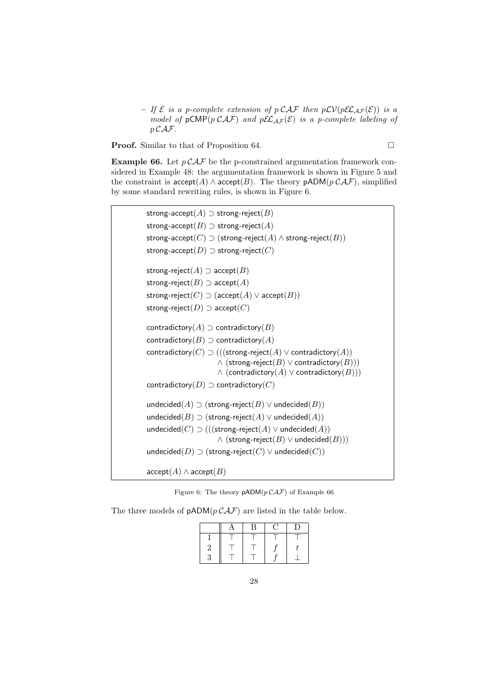$-$  *If*  $\mathcal{E}$  *is a p-complete extension of p*  $\mathcal{CAF}$  *then*  $p\mathcal{LV}(p\mathcal{EL}_{AF}(\mathcal{E}))$  *is a model of*  $pCMP(p CAF)$  *and*  $pEL_{AF}(E)$  *is a p-complete labeling of p CAF.*

**Proof.** Similar to that of Proposition 64. □

**Example 66.** Let  $p \mathcal{C} \mathcal{A} \mathcal{F}$  be the p-constrained argumentation framework considered in Example 48: the argumentation framework is shown in Figure 5 and the constraint is  $accept(A) \wedge accept(B)$ . The theory  $pADM(p CAF)$ , simplified by some standard rewriting rules, is shown in Figure 6.

```
strong-accept(A) ⊃ strong-reject(B)
strong-accept(B) ⊃ strong-reject(A)
strong-accept(C) \supset (strong-reject(A) \wedge strong-reject(B))
strong-accept(D) ⊃ strong-reject(C)
strong-reject(A) \supset accept(B)strong-reject(B) \supset accept(A)strong-reject(C) \supset (\text{accept}(A) \vee \text{accept}(B))strong-reject(D) \supset accept(C)contradictory(A) \supset contradictory(B)contradictory(B) \supset contradictory(A)
contradictory(C) \supset (((strong-reject(A) \vee contradictory(A))
                      ∧ (strong-reject(B) ∨ contradictory(B)))
                      ∧ (contradictory(A) ∨ contradictory(B)))
contradictory(D) \supset contradictory(C)undecided(A) ⊃ (strong-reject(B) ∨ undecided(B))
undecided(B) \supset (strong-reject(A) \vee undecided(A))
undecided(C) ⊃ (((strong-reject(A) ∨ undecided(A))
                      ∧ (strong-reject(B) ∨ undecided(B)))
undecided(D) \supset (strong-reject(C) \vee undecided(C))
\operatorname{accept}(A) \wedge \operatorname{accept}(B)
```
Figure 6: The theory  $pADM(p\mathcal{CAF})$  of Example 66

The three models of  $pADM(p CAF)$  are listed in the table below.

| z. |  |  |
|----|--|--|
|    |  |  |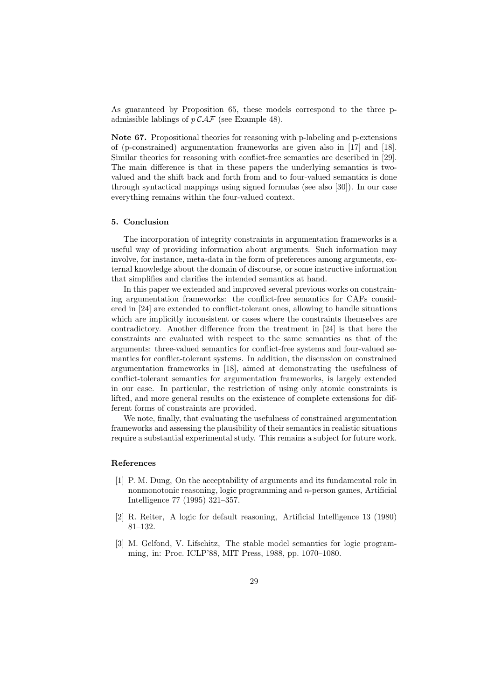As guaranteed by Proposition 65, these models correspond to the three padmissible lablings of *p CAF* (see Example 48).

**Note 67.** Propositional theories for reasoning with p-labeling and p-extensions of (p-constrained) argumentation frameworks are given also in [17] and [18]. Similar theories for reasoning with conflict-free semantics are described in [29]. The main difference is that in these papers the underlying semantics is twovalued and the shift back and forth from and to four-valued semantics is done through syntactical mappings using signed formulas (see also [30]). In our case everything remains within the four-valued context.

# **5. Conclusion**

The incorporation of integrity constraints in argumentation frameworks is a useful way of providing information about arguments. Such information may involve, for instance, meta-data in the form of preferences among arguments, external knowledge about the domain of discourse, or some instructive information that simplifies and clarifies the intended semantics at hand.

In this paper we extended and improved several previous works on constraining argumentation frameworks: the conflict-free semantics for CAFs considered in [24] are extended to conflict-tolerant ones, allowing to handle situations which are implicitly inconsistent or cases where the constraints themselves are contradictory. Another difference from the treatment in [24] is that here the constraints are evaluated with respect to the same semantics as that of the arguments: three-valued semantics for conflict-free systems and four-valued semantics for conflict-tolerant systems. In addition, the discussion on constrained argumentation frameworks in [18], aimed at demonstrating the usefulness of conflict-tolerant semantics for argumentation frameworks, is largely extended in our case. In particular, the restriction of using only atomic constraints is lifted, and more general results on the existence of complete extensions for different forms of constraints are provided.

We note, finally, that evaluating the usefulness of constrained argumentation frameworks and assessing the plausibility of their semantics in realistic situations require a substantial experimental study. This remains a subject for future work.

#### **References**

- [1] P. M. Dung, On the acceptability of arguments and its fundamental role in nonmonotonic reasoning, logic programming and *n*-person games, Artificial Intelligence 77 (1995) 321–357.
- [2] R. Reiter, A logic for default reasoning, Artificial Intelligence 13 (1980) 81–132.
- [3] M. Gelfond, V. Lifschitz, The stable model semantics for logic programming, in: Proc. ICLP'88, MIT Press, 1988, pp. 1070–1080.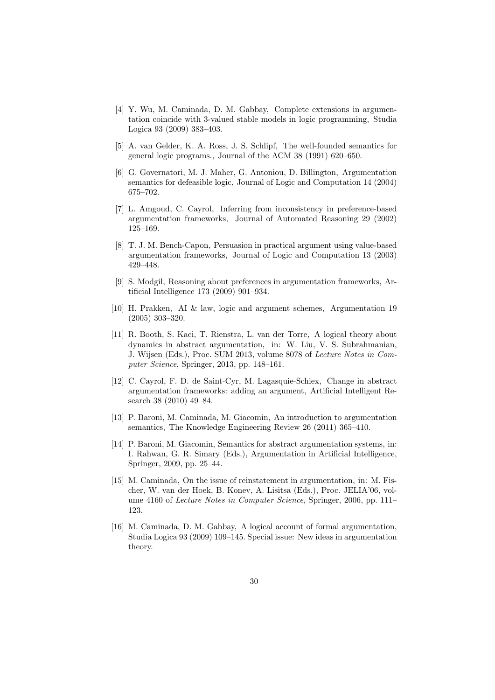- [4] Y. Wu, M. Caminada, D. M. Gabbay, Complete extensions in argumentation coincide with 3-valued stable models in logic programming, Studia Logica 93 (2009) 383–403.
- [5] A. van Gelder, K. A. Ross, J. S. Schlipf, The well-founded semantics for general logic programs., Journal of the ACM 38 (1991) 620–650.
- [6] G. Governatori, M. J. Maher, G. Antoniou, D. Billington, Argumentation semantics for defeasible logic, Journal of Logic and Computation 14 (2004) 675–702.
- [7] L. Amgoud, C. Cayrol, Inferring from inconsistency in preference-based argumentation frameworks, Journal of Automated Reasoning 29 (2002) 125–169.
- [8] T. J. M. Bench-Capon, Persuasion in practical argument using value-based argumentation frameworks, Journal of Logic and Computation 13 (2003) 429–448.
- [9] S. Modgil, Reasoning about preferences in argumentation frameworks, Artificial Intelligence 173 (2009) 901–934.
- [10] H. Prakken, AI & law, logic and argument schemes, Argumentation 19 (2005) 303–320.
- [11] R. Booth, S. Kaci, T. Rienstra, L. van der Torre, A logical theory about dynamics in abstract argumentation, in: W. Liu, V. S. Subrahmanian, J. Wijsen (Eds.), Proc. SUM 2013, volume 8078 of *Lecture Notes in Computer Science*, Springer, 2013, pp. 148–161.
- [12] C. Cayrol, F. D. de Saint-Cyr, M. Lagasquie-Schiex, Change in abstract argumentation frameworks: adding an argument, Artificial Intelligent Research 38 (2010) 49–84.
- [13] P. Baroni, M. Caminada, M. Giacomin, An introduction to argumentation semantics, The Knowledge Engineering Review 26 (2011) 365–410.
- [14] P. Baroni, M. Giacomin, Semantics for abstract argumentation systems, in: I. Rahwan, G. R. Simary (Eds.), Argumentation in Artificial Intelligence, Springer, 2009, pp. 25–44.
- [15] M. Caminada, On the issue of reinstatement in argumentation, in: M. Fischer, W. van der Hoek, B. Konev, A. Lisitsa (Eds.), Proc. JELIA'06, volume 4160 of *Lecture Notes in Computer Science*, Springer, 2006, pp. 111– 123.
- [16] M. Caminada, D. M. Gabbay, A logical account of formal argumentation, Studia Logica 93 (2009) 109–145. Special issue: New ideas in argumentation theory.